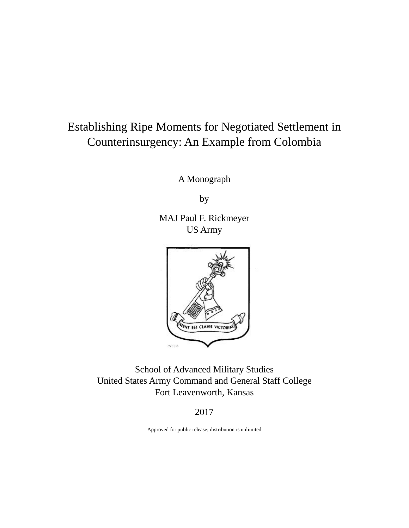# Establishing Ripe Moments for Negotiated Settlement in Counterinsurgency: An Example from Colombia

A Monograph

by

MAJ Paul F. Rickmeyer US Army



School of Advanced Military Studies United States Army Command and General Staff College Fort Leavenworth, Kansas

2017

Approved for public release; distribution is unlimited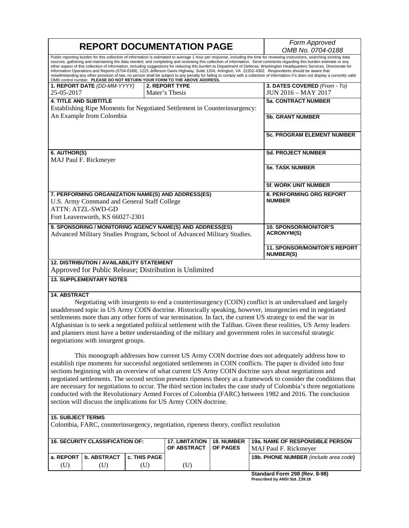| <b>REPORT DOCUMENTATION PAGE</b>                                                                                                                                                                                                                                                                                                                                                                                                                                                                                                                                                                                                                                                                                                                                                                                                                                                                                                                                  |              |                                      |                                           | Form Approved                                              |  |
|-------------------------------------------------------------------------------------------------------------------------------------------------------------------------------------------------------------------------------------------------------------------------------------------------------------------------------------------------------------------------------------------------------------------------------------------------------------------------------------------------------------------------------------------------------------------------------------------------------------------------------------------------------------------------------------------------------------------------------------------------------------------------------------------------------------------------------------------------------------------------------------------------------------------------------------------------------------------|--------------|--------------------------------------|-------------------------------------------|------------------------------------------------------------|--|
|                                                                                                                                                                                                                                                                                                                                                                                                                                                                                                                                                                                                                                                                                                                                                                                                                                                                                                                                                                   |              |                                      |                                           | OMB No. 0704-0188                                          |  |
| Public reporting burden for this collection of information is estimated to average 1 hour per response, including the time for reviewing instructions, searching existing data<br>sources, gathering and maintaining the data needed, and completing and reviewing this collection of information. Send comments regarding this burden estimate or any<br>other aspect of this collection of information, including suggestions for reducing this burden to Department of Defense, Washington Headquarters Services, Directorate for<br>Information Operations and Reports (0704-0188), 1215 Jefferson Davis Highway, Suite 1204, Arlington, VA 22202-4302. Respondents should be aware that<br>notwithstanding any other provision of law, no person shall be subject to any penalty for failing to comply with a collection of information if it does not display a currently valid<br>OMB control number. PLEASE DO NOT RETURN YOUR FORM TO THE ABOVE ADDRESS. |              |                                      |                                           |                                                            |  |
| 1. REPORT DATE (DD-MM-YYYY)<br>25-05-2017                                                                                                                                                                                                                                                                                                                                                                                                                                                                                                                                                                                                                                                                                                                                                                                                                                                                                                                         |              | 2. REPORT TYPE<br>Mater's Thesis     |                                           | 3. DATES COVERED (From - To)<br><b>JUN 2016 - MAY 2017</b> |  |
| <b>4. TITLE AND SUBTITLE</b><br>Establishing Ripe Moments for Negotiated Settlement in Counterinsurgency:                                                                                                                                                                                                                                                                                                                                                                                                                                                                                                                                                                                                                                                                                                                                                                                                                                                         |              |                                      |                                           | <b>5a. CONTRACT NUMBER</b>                                 |  |
|                                                                                                                                                                                                                                                                                                                                                                                                                                                                                                                                                                                                                                                                                                                                                                                                                                                                                                                                                                   |              |                                      |                                           |                                                            |  |
| An Example from Colombia                                                                                                                                                                                                                                                                                                                                                                                                                                                                                                                                                                                                                                                                                                                                                                                                                                                                                                                                          |              |                                      |                                           | <b>5b. GRANT NUMBER</b>                                    |  |
|                                                                                                                                                                                                                                                                                                                                                                                                                                                                                                                                                                                                                                                                                                                                                                                                                                                                                                                                                                   |              |                                      |                                           | <b>5c. PROGRAM ELEMENT NUMBER</b>                          |  |
| 6. AUTHOR(S)<br>MAJ Paul F. Rickmeyer                                                                                                                                                                                                                                                                                                                                                                                                                                                                                                                                                                                                                                                                                                                                                                                                                                                                                                                             |              |                                      |                                           | <b>5d. PROJECT NUMBER</b>                                  |  |
|                                                                                                                                                                                                                                                                                                                                                                                                                                                                                                                                                                                                                                                                                                                                                                                                                                                                                                                                                                   |              |                                      |                                           | <b>5e. TASK NUMBER</b>                                     |  |
|                                                                                                                                                                                                                                                                                                                                                                                                                                                                                                                                                                                                                                                                                                                                                                                                                                                                                                                                                                   |              |                                      |                                           | <b>5f. WORK UNIT NUMBER</b>                                |  |
| 7. PERFORMING ORGANIZATION NAME(S) AND ADDRESS(ES)<br>U.S. Army Command and General Staff College<br><b>ATTN: ATZL-SWD-GD</b><br>Fort Leavenworth, KS 66027-2301                                                                                                                                                                                                                                                                                                                                                                                                                                                                                                                                                                                                                                                                                                                                                                                                  |              |                                      | 8. PERFORMING ORG REPORT<br><b>NUMBER</b> |                                                            |  |
|                                                                                                                                                                                                                                                                                                                                                                                                                                                                                                                                                                                                                                                                                                                                                                                                                                                                                                                                                                   |              |                                      |                                           | <b>10. SPONSOR/MONITOR'S</b>                               |  |
| 9. SPONSORING / MONITORING AGENCY NAME(S) AND ADDRESS(ES)<br>Advanced Military Studies Program, School of Advanced Military Studies.                                                                                                                                                                                                                                                                                                                                                                                                                                                                                                                                                                                                                                                                                                                                                                                                                              |              |                                      | <b>ACRONYM(S)</b>                         |                                                            |  |
|                                                                                                                                                                                                                                                                                                                                                                                                                                                                                                                                                                                                                                                                                                                                                                                                                                                                                                                                                                   |              |                                      |                                           | <b>11. SPONSOR/MONITOR'S REPORT</b><br><b>NUMBER(S)</b>    |  |
| 12. DISTRIBUTION / AVAILABILITY STATEMENT<br>Approved for Public Release; Distribution is Unlimited                                                                                                                                                                                                                                                                                                                                                                                                                                                                                                                                                                                                                                                                                                                                                                                                                                                               |              |                                      |                                           |                                                            |  |
| <b>13. SUPPLEMENTARY NOTES</b>                                                                                                                                                                                                                                                                                                                                                                                                                                                                                                                                                                                                                                                                                                                                                                                                                                                                                                                                    |              |                                      |                                           |                                                            |  |
|                                                                                                                                                                                                                                                                                                                                                                                                                                                                                                                                                                                                                                                                                                                                                                                                                                                                                                                                                                   |              |                                      |                                           |                                                            |  |
| <b>14. ABSTRACT</b><br>Negotiating with insurgents to end a counterinsurgency (COIN) conflict is an undervalued and largely<br>unaddressed topic in US Army COIN doctrine. Historically speaking, however, insurgencies end in negotiated<br>settlements more than any other form of war termination. In fact, the current US strategy to end the war in<br>Afghanistan is to seek a negotiated political settlement with the Taliban. Given these realities, US Army leaders<br>and planners must have a better understanding of the military and government roles in successful strategic<br>negotiations with insurgent groups.                                                                                                                                                                                                                                                                                                                                |              |                                      |                                           |                                                            |  |
| This monograph addresses how current US Army COIN doctrine does not adequately address how to<br>establish ripe moments for successful negotiated settlements in COIN conflicts. The paper is divided into four<br>sections beginning with an overview of what current US Army COIN doctrine says about negotiations and<br>negotiated settlements. The second section presents ripeness theory as a framework to consider the conditions that<br>are necessary for negotiations to occur. The third section includes the case study of Colombia's three negotiations<br>conducted with the Revolutionary Armed Forces of Colombia (FARC) between 1982 and 2016. The conclusion<br>section will discuss the implications for US Army COIN doctrine.                                                                                                                                                                                                               |              |                                      |                                           |                                                            |  |
| <b>15. SUBJECT TERMS</b><br>Colombia, FARC, counterinsurgency, negotiation, ripeness theory, conflict resolution                                                                                                                                                                                                                                                                                                                                                                                                                                                                                                                                                                                                                                                                                                                                                                                                                                                  |              |                                      |                                           |                                                            |  |
| <b>16. SECURITY CLASSIFICATION OF:</b>                                                                                                                                                                                                                                                                                                                                                                                                                                                                                                                                                                                                                                                                                                                                                                                                                                                                                                                            |              | <b>17. LIMITATION</b><br>OF ABSTRACT | <b>18. NUMBER</b><br><b>OF PAGES</b>      | 19a. NAME OF RESPONSIBLE PERSON<br>MAJ Paul F. Rickmeyer   |  |
| a. REPORT<br><b>b. ABSTRACT</b>                                                                                                                                                                                                                                                                                                                                                                                                                                                                                                                                                                                                                                                                                                                                                                                                                                                                                                                                   | c. THIS PAGE |                                      |                                           | 19b. PHONE NUMBER (include area code)                      |  |
| (U)<br>(U)                                                                                                                                                                                                                                                                                                                                                                                                                                                                                                                                                                                                                                                                                                                                                                                                                                                                                                                                                        | (U)          | (U)                                  |                                           |                                                            |  |

**Standard Form 298 (Rev. 8-98) Prescribed by ANSI Std. Z39.18**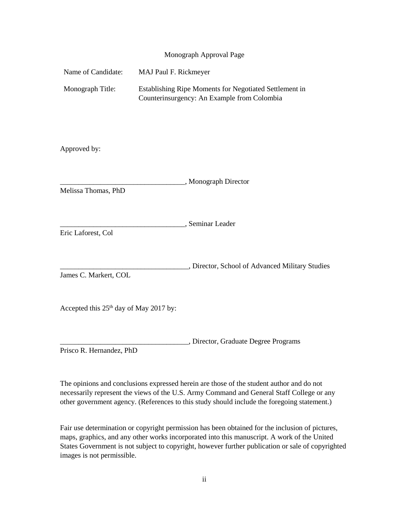|                                                    | Monograph Approval Page                                                                               |  |  |  |  |
|----------------------------------------------------|-------------------------------------------------------------------------------------------------------|--|--|--|--|
| Name of Candidate:                                 | MAJ Paul F. Rickmeyer                                                                                 |  |  |  |  |
| Monograph Title:                                   | Establishing Ripe Moments for Negotiated Settlement in<br>Counterinsurgency: An Example from Colombia |  |  |  |  |
| Approved by:                                       |                                                                                                       |  |  |  |  |
| Melissa Thomas, PhD                                | , Monograph Director                                                                                  |  |  |  |  |
| Eric Laforest, Col                                 | , Seminar Leader                                                                                      |  |  |  |  |
| James C. Markert, COL                              | , Director, School of Advanced Military Studies                                                       |  |  |  |  |
| Accepted this 25 <sup>th</sup> day of May 2017 by: |                                                                                                       |  |  |  |  |
| Prisco R. Hernandez, PhD                           | , Director, Graduate Degree Programs                                                                  |  |  |  |  |

The opinions and conclusions expressed herein are those of the student author and do not necessarily represent the views of the U.S. Army Command and General Staff College or any other government agency. (References to this study should include the foregoing statement.)

Fair use determination or copyright permission has been obtained for the inclusion of pictures, maps, graphics, and any other works incorporated into this manuscript. A work of the United States Government is not subject to copyright, however further publication or sale of copyrighted images is not permissible.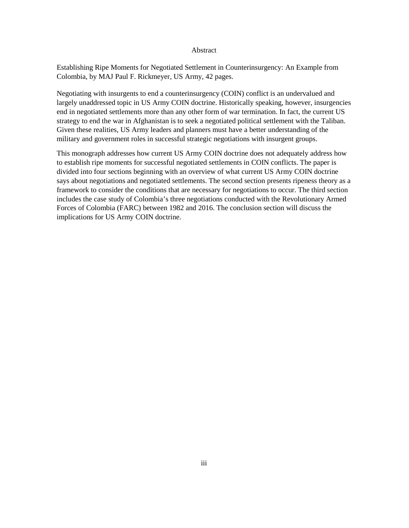#### Abstract

Establishing Ripe Moments for Negotiated Settlement in Counterinsurgency: An Example from Colombia, by MAJ Paul F. Rickmeyer, US Army, 42 pages.

Negotiating with insurgents to end a counterinsurgency (COIN) conflict is an undervalued and largely unaddressed topic in US Army COIN doctrine. Historically speaking, however, insurgencies end in negotiated settlements more than any other form of war termination. In fact, the current US strategy to end the war in Afghanistan is to seek a negotiated political settlement with the Taliban. Given these realities, US Army leaders and planners must have a better understanding of the military and government roles in successful strategic negotiations with insurgent groups.

This monograph addresses how current US Army COIN doctrine does not adequately address how to establish ripe moments for successful negotiated settlements in COIN conflicts. The paper is divided into four sections beginning with an overview of what current US Army COIN doctrine says about negotiations and negotiated settlements. The second section presents ripeness theory as a framework to consider the conditions that are necessary for negotiations to occur. The third section includes the case study of Colombia's three negotiations conducted with the Revolutionary Armed Forces of Colombia (FARC) between 1982 and 2016. The conclusion section will discuss the implications for US Army COIN doctrine.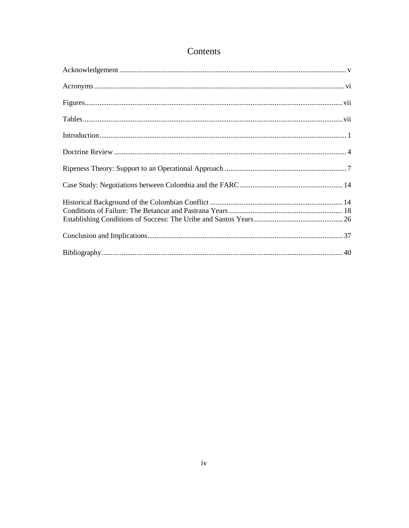### Contents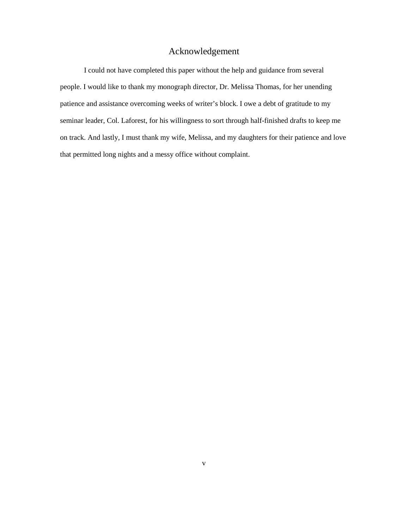#### Acknowledgement

<span id="page-5-0"></span>I could not have completed this paper without the help and guidance from several people. I would like to thank my monograph director, Dr. Melissa Thomas, for her unending patience and assistance overcoming weeks of writer's block. I owe a debt of gratitude to my seminar leader, Col. Laforest, for his willingness to sort through half-finished drafts to keep me on track. And lastly, I must thank my wife, Melissa, and my daughters for their patience and love that permitted long nights and a messy office without complaint.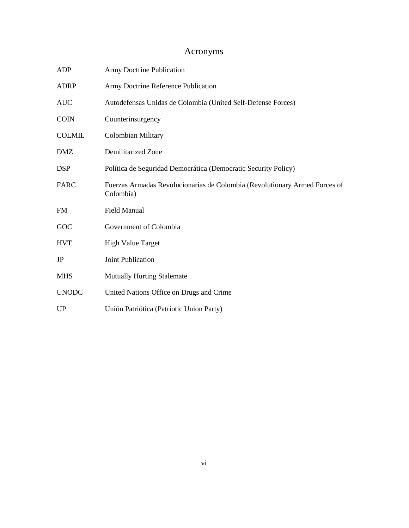## Acronyms

<span id="page-6-0"></span>

| <b>ADP</b>    | Army Doctrine Publication                                                               |
|---------------|-----------------------------------------------------------------------------------------|
| <b>ADRP</b>   | Army Doctrine Reference Publication                                                     |
| <b>AUC</b>    | Autodefensas Unidas de Colombia (United Self-Defense Forces)                            |
| <b>COIN</b>   | Counterinsurgency                                                                       |
| <b>COLMIL</b> | Colombian Military                                                                      |
| <b>DMZ</b>    | Demilitarized Zone                                                                      |
| <b>DSP</b>    | Política de Seguridad Democrática (Democratic Security Policy)                          |
| <b>FARC</b>   | Fuerzas Armadas Revolucionarias de Colombia (Revolutionary Armed Forces of<br>Colombia) |
| <b>FM</b>     | <b>Field Manual</b>                                                                     |
| GOC           | Government of Colombia                                                                  |
| <b>HVT</b>    | <b>High Value Target</b>                                                                |
| JP            | Joint Publication                                                                       |
| <b>MHS</b>    | <b>Mutually Hurting Stalemate</b>                                                       |
| <b>UNODC</b>  | United Nations Office on Drugs and Crime                                                |
| <b>UP</b>     | Unión Patriótica (Patriotic Union Party)                                                |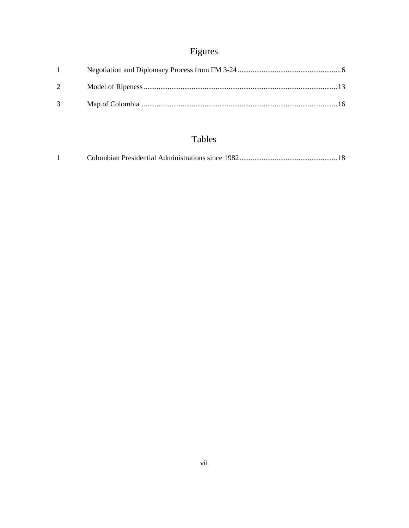# Figures

<span id="page-7-0"></span>

| $\sim$ 1       |  |
|----------------|--|
| $\overline{2}$ |  |
| $\mathcal{R}$  |  |

## Tables

<span id="page-7-1"></span>

|--|--|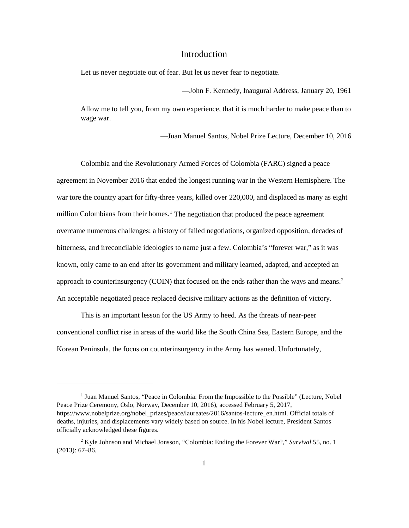#### Introduction

<span id="page-8-0"></span>Let us never negotiate out of fear. But let us never fear to negotiate.

—John F. Kennedy, Inaugural Address, January 20, 1961

Allow me to tell you, from my own experience, that it is much harder to make peace than to wage war.

—Juan Manuel Santos, Nobel Prize Lecture, December 10, 2016

Colombia and the Revolutionary Armed Forces of Colombia (FARC) signed a peace agreement in November 2016 that ended the longest running war in the Western Hemisphere. The war tore the country apart for fifty-three years, killed over 220,000, and displaced as many as eight million Colombians from their homes.<sup>[1](#page-8-1)</sup> The negotiation that produced the peace agreement overcame numerous challenges: a history of failed negotiations, organized opposition, decades of bitterness, and irreconcilable ideologies to name just a few. Colombia's "forever war," as it was known, only came to an end after its government and military learned, adapted, and accepted an approach to counterinsurgency (COIN) that focused on the ends rather than the ways and means.<sup>[2](#page-8-2)</sup> An acceptable negotiated peace replaced decisive military actions as the definition of victory.

This is an important lesson for the US Army to heed. As the threats of near-peer conventional conflict rise in areas of the world like the South China Sea, Eastern Europe, and the Korean Peninsula, the focus on counterinsurgency in the Army has waned. Unfortunately,

<span id="page-8-1"></span><sup>1</sup> Juan Manuel Santos, "Peace in Colombia: From the Impossible to the Possible" (Lecture, Nobel Peace Prize Ceremony, Oslo, Norway, December 10, 2016), accessed February 5, 2017, https://www.nobelprize.org/nobel\_prizes/peace/laureates/2016/santos-lecture\_en.html. Official totals of deaths, injuries, and displacements vary widely based on source. In his Nobel lecture, President Santos officially acknowledged these figures.

<span id="page-8-2"></span><sup>2</sup> Kyle Johnson and Michael Jonsson, "Colombia: Ending the Forever War?," *Survival* 55, no. 1 (2013): 67–86.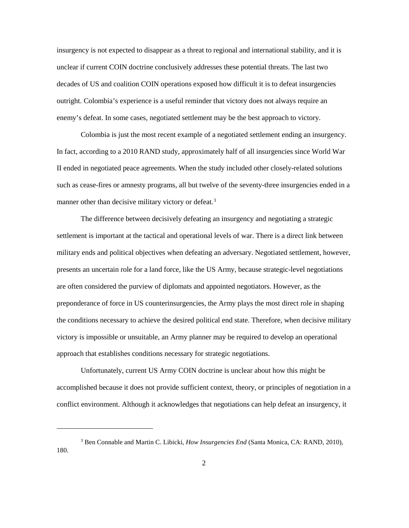insurgency is not expected to disappear as a threat to regional and international stability, and it is unclear if current COIN doctrine conclusively addresses these potential threats. The last two decades of US and coalition COIN operations exposed how difficult it is to defeat insurgencies outright. Colombia's experience is a useful reminder that victory does not always require an enemy's defeat. In some cases, negotiated settlement may be the best approach to victory.

Colombia is just the most recent example of a negotiated settlement ending an insurgency. In fact, according to a 2010 RAND study, approximately half of all insurgencies since World War II ended in negotiated peace agreements. When the study included other closely-related solutions such as cease-fires or amnesty programs, all but twelve of the seventy-three insurgencies ended in a manner other than decisive military victory or defeat.<sup>[3](#page-9-0)</sup>

The difference between decisively defeating an insurgency and negotiating a strategic settlement is important at the tactical and operational levels of war. There is a direct link between military ends and political objectives when defeating an adversary. Negotiated settlement, however, presents an uncertain role for a land force, like the US Army, because strategic-level negotiations are often considered the purview of diplomats and appointed negotiators. However, as the preponderance of force in US counterinsurgencies, the Army plays the most direct role in shaping the conditions necessary to achieve the desired political end state. Therefore, when decisive military victory is impossible or unsuitable, an Army planner may be required to develop an operational approach that establishes conditions necessary for strategic negotiations.

Unfortunately, current US Army COIN doctrine is unclear about how this might be accomplished because it does not provide sufficient context, theory, or principles of negotiation in a conflict environment. Although it acknowledges that negotiations can help defeat an insurgency, it

<span id="page-9-0"></span><sup>3</sup> Ben Connable and Martin C. Libicki, *How Insurgencies End* (Santa Monica, CA: RAND, 2010), 180.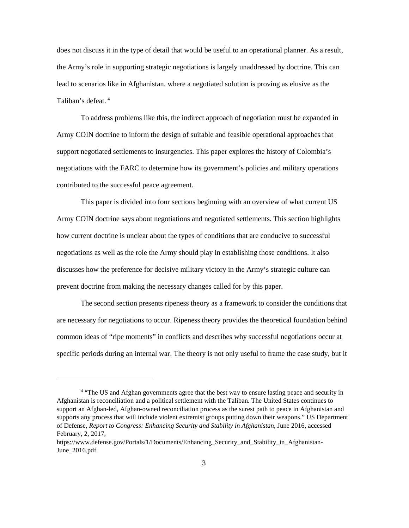does not discuss it in the type of detail that would be useful to an operational planner. As a result, the Army's role in supporting strategic negotiations is largely unaddressed by doctrine. This can lead to scenarios like in Afghanistan, where a negotiated solution is proving as elusive as the Taliban's defeat. [4](#page-10-0)

To address problems like this, the indirect approach of negotiation must be expanded in Army COIN doctrine to inform the design of suitable and feasible operational approaches that support negotiated settlements to insurgencies. This paper explores the history of Colombia's negotiations with the FARC to determine how its government's policies and military operations contributed to the successful peace agreement.

This paper is divided into four sections beginning with an overview of what current US Army COIN doctrine says about negotiations and negotiated settlements. This section highlights how current doctrine is unclear about the types of conditions that are conducive to successful negotiations as well as the role the Army should play in establishing those conditions. It also discusses how the preference for decisive military victory in the Army's strategic culture can prevent doctrine from making the necessary changes called for by this paper.

The second section presents ripeness theory as a framework to consider the conditions that are necessary for negotiations to occur. Ripeness theory provides the theoretical foundation behind common ideas of "ripe moments" in conflicts and describes why successful negotiations occur at specific periods during an internal war. The theory is not only useful to frame the case study, but it

<span id="page-10-0"></span><sup>&</sup>lt;sup>4</sup> "The US and Afghan governments agree that the best way to ensure lasting peace and security in Afghanistan is reconciliation and a political settlement with the Taliban. The United States continues to support an Afghan-led, Afghan-owned reconciliation process as the surest path to peace in Afghanistan and supports any process that will include violent extremist groups putting down their weapons." US Department of Defense, *Report to Congress: Enhancing Security and Stability in Afghanistan*, June 2016, accessed February, 2, 2017,

https://www.defense.gov/Portals/1/Documents/Enhancing\_Security\_and\_Stability\_in\_Afghanistan-June\_2016.pdf.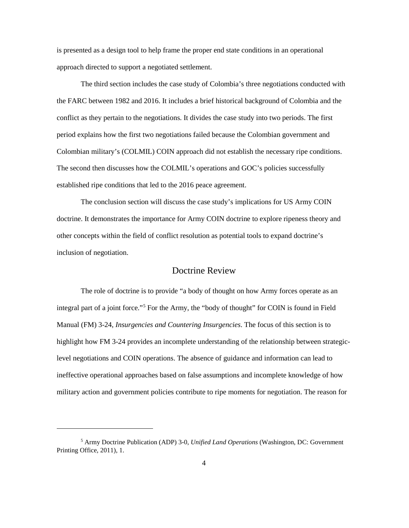is presented as a design tool to help frame the proper end state conditions in an operational approach directed to support a negotiated settlement.

The third section includes the case study of Colombia's three negotiations conducted with the FARC between 1982 and 2016. It includes a brief historical background of Colombia and the conflict as they pertain to the negotiations. It divides the case study into two periods. The first period explains how the first two negotiations failed because the Colombian government and Colombian military's (COLMIL) COIN approach did not establish the necessary ripe conditions. The second then discusses how the COLMIL's operations and GOC's policies successfully established ripe conditions that led to the 2016 peace agreement.

The conclusion section will discuss the case study's implications for US Army COIN doctrine. It demonstrates the importance for Army COIN doctrine to explore ripeness theory and other concepts within the field of conflict resolution as potential tools to expand doctrine's inclusion of negotiation.

#### Doctrine Review

<span id="page-11-0"></span>The role of doctrine is to provide "a body of thought on how Army forces operate as an integral part of a joint force."[5](#page-11-1) For the Army, the "body of thought" for COIN is found in Field Manual (FM) 3-24, *Insurgencies and Countering Insurgencies*. The focus of this section is to highlight how FM 3-24 provides an incomplete understanding of the relationship between strategiclevel negotiations and COIN operations. The absence of guidance and information can lead to ineffective operational approaches based on false assumptions and incomplete knowledge of how military action and government policies contribute to ripe moments for negotiation. The reason for

<span id="page-11-1"></span><sup>5</sup> Army Doctrine Publication (ADP) 3-0, *Unified Land Operations* (Washington, DC: Government Printing Office, 2011), 1.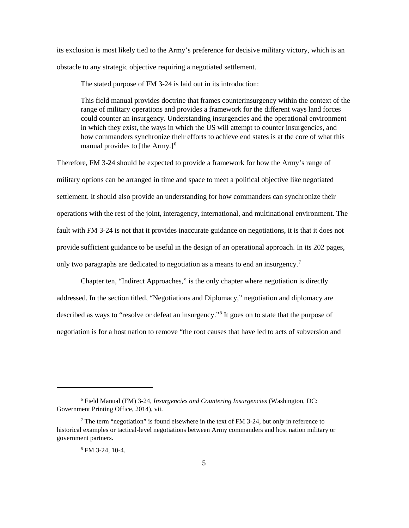its exclusion is most likely tied to the Army's preference for decisive military victory, which is an obstacle to any strategic objective requiring a negotiated settlement.

The stated purpose of FM 3-24 is laid out in its introduction:

This field manual provides doctrine that frames counterinsurgency within the context of the range of military operations and provides a framework for the different ways land forces could counter an insurgency. Understanding insurgencies and the operational environment in which they exist, the ways in which the US will attempt to counter insurgencies, and how commanders synchronize their efforts to achieve end states is at the core of what this manual provides to [the Army.] $<sup>6</sup>$  $<sup>6</sup>$  $<sup>6</sup>$ </sup>

Therefore, FM 3-24 should be expected to provide a framework for how the Army's range of military options can be arranged in time and space to meet a political objective like negotiated settlement. It should also provide an understanding for how commanders can synchronize their operations with the rest of the joint, interagency, international, and multinational environment. The fault with FM 3-24 is not that it provides inaccurate guidance on negotiations, it is that it does not provide sufficient guidance to be useful in the design of an operational approach. In its 202 pages, only two paragraphs are dedicated to negotiation as a means to end an insurgency.[7](#page-12-1)

Chapter ten, "Indirect Approaches," is the only chapter where negotiation is directly addressed. In the section titled, "Negotiations and Diplomacy," negotiation and diplomacy are described as ways to "resolve or defeat an insurgency."[8](#page-12-2) It goes on to state that the purpose of negotiation is for a host nation to remove "the root causes that have led to acts of subversion and

<span id="page-12-0"></span><sup>6</sup> Field Manual (FM) 3-24, *Insurgencies and Countering Insurgencies* (Washington, DC: Government Printing Office, 2014), vii.

<span id="page-12-2"></span><span id="page-12-1"></span><sup>7</sup> The term "negotiation" is found elsewhere in the text of FM 3-24, but only in reference to historical examples or tactical-level negotiations between Army commanders and host nation military or government partners.

<sup>8</sup> FM 3-24, 10-4.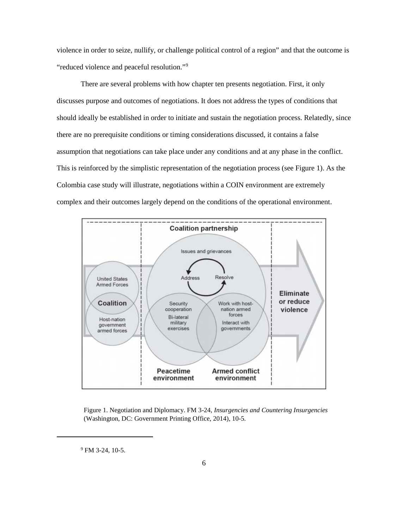violence in order to seize, nullify, or challenge political control of a region" and that the outcome is "reduced violence and peaceful resolution."[9](#page-13-1)

There are several problems with how chapter ten presents negotiation. First, it only discusses purpose and outcomes of negotiations. It does not address the types of conditions that should ideally be established in order to initiate and sustain the negotiation process. Relatedly, since there are no prerequisite conditions or timing considerations discussed, it contains a false assumption that negotiations can take place under any conditions and at any phase in the conflict. This is reinforced by the simplistic representation of the negotiation process (see Figure 1). As the Colombia case study will illustrate, negotiations within a COIN environment are extremely complex and their outcomes largely depend on the conditions of the operational environment.



<span id="page-13-0"></span>Figure 1. Negotiation and Diplomacy. FM 3-24, *Insurgencies and Countering Insurgencies* (Washington, DC: Government Printing Office, 2014), 10-5.

<span id="page-13-1"></span><sup>&</sup>lt;sup>9</sup> FM 3-24, 10-5.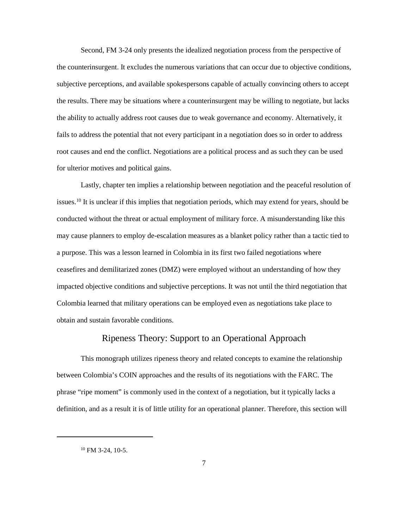Second, FM 3-24 only presents the idealized negotiation process from the perspective of the counterinsurgent. It excludes the numerous variations that can occur due to objective conditions, subjective perceptions, and available spokespersons capable of actually convincing others to accept the results. There may be situations where a counterinsurgent may be willing to negotiate, but lacks the ability to actually address root causes due to weak governance and economy. Alternatively, it fails to address the potential that not every participant in a negotiation does so in order to address root causes and end the conflict. Negotiations are a political process and as such they can be used for ulterior motives and political gains.

Lastly, chapter ten implies a relationship between negotiation and the peaceful resolution of issues[.10](#page-14-1) It is unclear if this implies that negotiation periods, which may extend for years, should be conducted without the threat or actual employment of military force. A misunderstanding like this may cause planners to employ de-escalation measures as a blanket policy rather than a tactic tied to a purpose. This was a lesson learned in Colombia in its first two failed negotiations where ceasefires and demilitarized zones (DMZ) were employed without an understanding of how they impacted objective conditions and subjective perceptions. It was not until the third negotiation that Colombia learned that military operations can be employed even as negotiations take place to obtain and sustain favorable conditions.

### <span id="page-14-0"></span>Ripeness Theory: Support to an Operational Approach

This monograph utilizes ripeness theory and related concepts to examine the relationship between Colombia's COIN approaches and the results of its negotiations with the FARC. The phrase "ripe moment" is commonly used in the context of a negotiation, but it typically lacks a definition, and as a result it is of little utility for an operational planner. Therefore, this section will

<span id="page-14-1"></span><sup>&</sup>lt;sup>10</sup> FM 3-24, 10-5.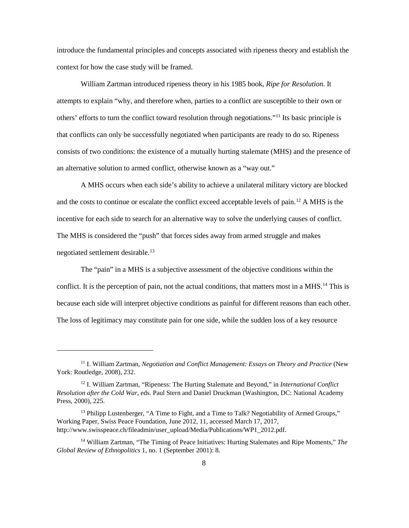introduce the fundamental principles and concepts associated with ripeness theory and establish the context for how the case study will be framed.

William Zartman introduced ripeness theory in his 1985 book, *Ripe for Resolution*. It attempts to explain "why, and therefore when, parties to a conflict are susceptible to their own or others' efforts to turn the conflict toward resolution through negotiations."[11](#page-15-0) Its basic principle is that conflicts can only be successfully negotiated when participants are ready to do so. Ripeness consists of two conditions: the existence of a mutually hurting stalemate (MHS) and the presence of an alternative solution to armed conflict, otherwise known as a "way out."

A MHS occurs when each side's ability to achieve a unilateral military victory are blocked and the costs to continue or escalate the conflict exceed acceptable levels of pain.<sup>12</sup> A MHS is the incentive for each side to search for an alternative way to solve the underlying causes of conflict. The MHS is considered the "push" that forces sides away from armed struggle and makes negotiated settlement desirable.<sup>13</sup>

The "pain" in a MHS is a subjective assessment of the objective conditions within the conflict. It is the perception of pain, not the actual conditions, that matters most in a MHS.<sup>[14](#page-15-3)</sup> This is because each side will interpret objective conditions as painful for different reasons than each other. The loss of legitimacy may constitute pain for one side, while the sudden loss of a key resource

<span id="page-15-0"></span><sup>11</sup> I. William Zartman, *Negotiation and Conflict Management: Essays on Theory and Practice* (New York: Routledge, 2008), 232.

<span id="page-15-1"></span><sup>12</sup> I. William Zartman, "Ripeness: The Hurting Stalemate and Beyond," in *International Conflict Resolution after the Cold War*, eds. Paul Stern and Daniel Druckman (Washington, DC: National Academy Press, 2000), 225.

<span id="page-15-2"></span><sup>&</sup>lt;sup>13</sup> Philipp Lustenberger, "A Time to Fight, and a Time to Talk? Negotiability of Armed Groups," Working Paper, Swiss Peace Foundation, June 2012, 11, accessed March 17, 2017, http://www.swisspeace.ch/fileadmin/user\_upload/Media/Publications/WP1\_2012.pdf.

<span id="page-15-3"></span><sup>14</sup> William Zartman, "The Timing of Peace Initiatives: Hurting Stalemates and Ripe Moments," *The Global Review of Ethnopolitics* 1, no. 1 (September 2001): 8.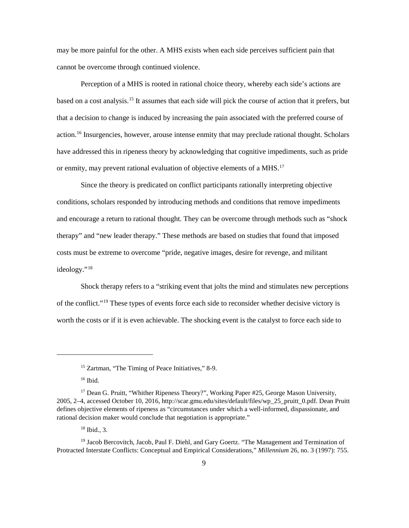may be more painful for the other. A MHS exists when each side perceives sufficient pain that cannot be overcome through continued violence.

Perception of a MHS is rooted in rational choice theory, whereby each side's actions are based on a cost analysis.[15](#page-16-0) It assumes that each side will pick the course of action that it prefers, but that a decision to change is induced by increasing the pain associated with the preferred course of action.[16](#page-16-1) Insurgencies, however, arouse intense enmity that may preclude rational thought. Scholars have addressed this in ripeness theory by acknowledging that cognitive impediments, such as pride or enmity, may prevent rational evaluation of objective elements of a MHS.[17](#page-16-2)

Since the theory is predicated on conflict participants rationally interpreting objective conditions, scholars responded by introducing methods and conditions that remove impediments and encourage a return to rational thought. They can be overcome through methods such as "shock therapy" and "new leader therapy." These methods are based on studies that found that imposed costs must be extreme to overcome "pride, negative images, desire for revenge, and militant ideology."[18](#page-16-3)

Shock therapy refers to a "striking event that jolts the mind and stimulates new perceptions of the conflict."[19](#page-16-4) These types of events force each side to reconsider whether decisive victory is worth the costs or if it is even achievable. The shocking event is the catalyst to force each side to

<sup>15</sup> Zartman, "The Timing of Peace Initiatives," 8-9.

 $16$  Ibid.

<span id="page-16-2"></span><span id="page-16-1"></span><span id="page-16-0"></span><sup>&</sup>lt;sup>17</sup> Dean G. Pruitt, "Whither Ripeness Theory?", Working Paper #25, George Mason University, 2005, 2–4, accessed October 10, 2016, http://scar.gmu.edu/sites/default/files/wp\_25\_pruitt\_0.pdf. Dean Pruitt defines objective elements of ripeness as "circumstances under which a well-informed, dispassionate, and rational decision maker would conclude that negotiation is appropriate."

<sup>18</sup> Ibid., 3.

<span id="page-16-4"></span><span id="page-16-3"></span><sup>&</sup>lt;sup>19</sup> Jacob Bercovitch, Jacob, Paul F. Diehl, and Gary Goertz. "The Management and Termination of Protracted Interstate Conflicts: Conceptual and Empirical Considerations," *Millennium* 26, no. 3 (1997): 755.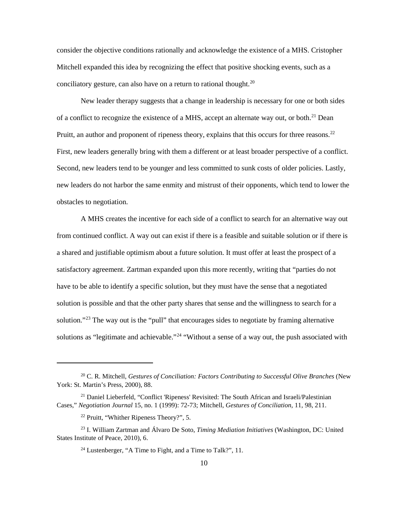consider the objective conditions rationally and acknowledge the existence of a MHS. Cristopher Mitchell expanded this idea by recognizing the effect that positive shocking events, such as a conciliatory gesture, can also have on a return to rational thought.<sup>20</sup>

New leader therapy suggests that a change in leadership is necessary for one or both sides of a conflict to recognize the existence of a MHS, accept an alternate way out, or both.<sup>21</sup> Dean Pruitt, an author and proponent of ripeness theory, explains that this occurs for three reasons.<sup>[22](#page-17-2)</sup> First, new leaders generally bring with them a different or at least broader perspective of a conflict. Second, new leaders tend to be younger and less committed to sunk costs of older policies. Lastly, new leaders do not harbor the same enmity and mistrust of their opponents, which tend to lower the obstacles to negotiation.

A MHS creates the incentive for each side of a conflict to search for an alternative way out from continued conflict. A way out can exist if there is a feasible and suitable solution or if there is a shared and justifiable optimism about a future solution. It must offer at least the prospect of a satisfactory agreement. Zartman expanded upon this more recently, writing that "parties do not have to be able to identify a specific solution, but they must have the sense that a negotiated solution is possible and that the other party shares that sense and the willingness to search for a solution."<sup>[23](#page-17-3)</sup> The way out is the "pull" that encourages sides to negotiate by framing alternative solutions as "legitimate and achievable."<sup>[24](#page-17-4)</sup> "Without a sense of a way out, the push associated with

<span id="page-17-0"></span><sup>20</sup> C. R. Mitchell, *Gestures of Conciliation: Factors Contributing to Successful Olive Branches* (New York: St. Martin's Press, 2000), 88.

<span id="page-17-1"></span><sup>21</sup> Daniel Lieberfeld, "Conflict 'Ripeness' Revisited: The South African and Israeli/Palestinian Cases," *Negotiation Journal* 15, no. 1 (1999): 72-73; Mitchell, *Gestures of Conciliation,* 11, 98, 211.

<sup>22</sup> Pruitt, "Whither Ripeness Theory?", 5.

<span id="page-17-4"></span><span id="page-17-3"></span><span id="page-17-2"></span><sup>23</sup> I. William Zartman and Álvaro De Soto, *Timing Mediation Initiatives* (Washington, DC: United States Institute of Peace, 2010), 6.

<sup>&</sup>lt;sup>24</sup> Lustenberger, "A Time to Fight, and a Time to Talk?", 11.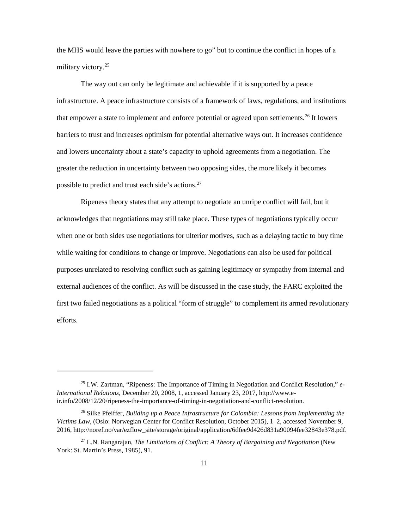the MHS would leave the parties with nowhere to go" but to continue the conflict in hopes of a military victory.<sup>[25](#page-18-0)</sup>

The way out can only be legitimate and achievable if it is supported by a peace infrastructure. A peace infrastructure consists of a framework of laws, regulations, and institutions that empower a state to implement and enforce potential or agreed upon settlements.<sup>[26](#page-18-1)</sup> It lowers barriers to trust and increases optimism for potential alternative ways out. It increases confidence and lowers uncertainty about a state's capacity to uphold agreements from a negotiation. The greater the reduction in uncertainty between two opposing sides, the more likely it becomes possible to predict and trust each side's actions.[27](#page-18-2)

Ripeness theory states that any attempt to negotiate an unripe conflict will fail, but it acknowledges that negotiations may still take place. These types of negotiations typically occur when one or both sides use negotiations for ulterior motives, such as a delaying tactic to buy time while waiting for conditions to change or improve. Negotiations can also be used for political purposes unrelated to resolving conflict such as gaining legitimacy or sympathy from internal and external audiences of the conflict. As will be discussed in the case study, the FARC exploited the first two failed negotiations as a political "form of struggle" to complement its armed revolutionary efforts.

<span id="page-18-0"></span><sup>25</sup> I.W. Zartman, "Ripeness: The Importance of Timing in Negotiation and Conflict Resolution," *e-International Relations*, December 20, 2008, 1, accessed January 23, 2017, http://www.eir.info/2008/12/20/ripeness-the-importance-of-timing-in-negotiation-and-conflict-resolution.

<span id="page-18-1"></span><sup>26</sup> Silke Pfeiffer, *Building up a Peace Infrastructure for Colombia: Lessons from Implementing the Victims Law*, (Oslo: Norwegian Center for Conflict Resolution, October 2015), 1–2, accessed November 9, 2016, http://noref.no/var/ezflow\_site/storage/original/application/6dfee9d426d831a90094fee32843e378.pdf.

<span id="page-18-2"></span><sup>27</sup> L.N. Rangarajan, *The Limitations of Conflict: A Theory of Bargaining and Negotiation* (New York: St. Martin's Press, 1985), 91.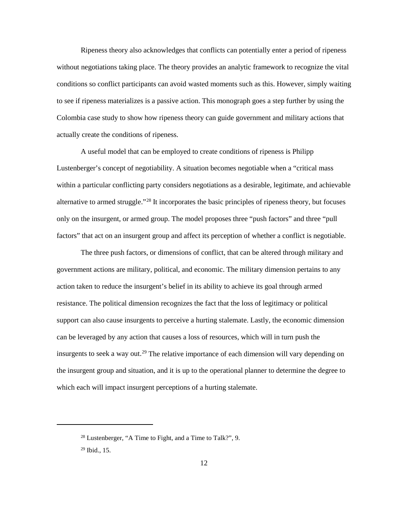Ripeness theory also acknowledges that conflicts can potentially enter a period of ripeness without negotiations taking place. The theory provides an analytic framework to recognize the vital conditions so conflict participants can avoid wasted moments such as this. However, simply waiting to see if ripeness materializes is a passive action. This monograph goes a step further by using the Colombia case study to show how ripeness theory can guide government and military actions that actually create the conditions of ripeness.

A useful model that can be employed to create conditions of ripeness is Philipp Lustenberger's concept of negotiability. A situation becomes negotiable when a "critical mass within a particular conflicting party considers negotiations as a desirable, legitimate, and achievable alternative to armed struggle."[28](#page-19-0) It incorporates the basic principles of ripeness theory, but focuses only on the insurgent, or armed group. The model proposes three "push factors" and three "pull factors" that act on an insurgent group and affect its perception of whether a conflict is negotiable.

The three push factors, or dimensions of conflict, that can be altered through military and government actions are military, political, and economic. The military dimension pertains to any action taken to reduce the insurgent's belief in its ability to achieve its goal through armed resistance. The political dimension recognizes the fact that the loss of legitimacy or political support can also cause insurgents to perceive a hurting stalemate. Lastly, the economic dimension can be leveraged by any action that causes a loss of resources, which will in turn push the insurgents to seek a way out.<sup>[29](#page-19-1)</sup> The relative importance of each dimension will vary depending on the insurgent group and situation, and it is up to the operational planner to determine the degree to which each will impact insurgent perceptions of a hurting stalemate.

<span id="page-19-1"></span><span id="page-19-0"></span><sup>28</sup> Lustenberger, "A Time to Fight, and a Time to Talk?", 9.  $29$  Ibid., 15.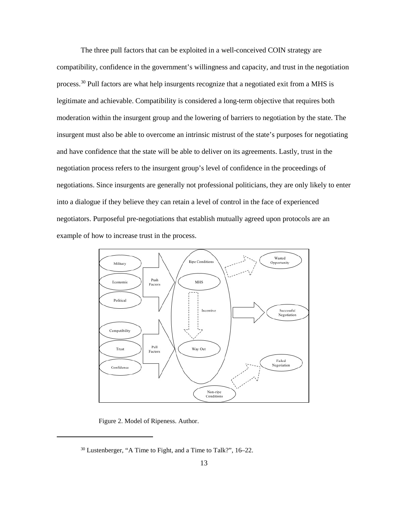The three pull factors that can be exploited in a well-conceived COIN strategy are compatibility, confidence in the government's willingness and capacity, and trust in the negotiation process.[30](#page-20-1) Pull factors are what help insurgents recognize that a negotiated exit from a MHS is legitimate and achievable. Compatibility is considered a long-term objective that requires both moderation within the insurgent group and the lowering of barriers to negotiation by the state. The insurgent must also be able to overcome an intrinsic mistrust of the state's purposes for negotiating and have confidence that the state will be able to deliver on its agreements. Lastly, trust in the negotiation process refers to the insurgent group's level of confidence in the proceedings of negotiations. Since insurgents are generally not professional politicians, they are only likely to enter into a dialogue if they believe they can retain a level of control in the face of experienced negotiators. Purposeful pre-negotiations that establish mutually agreed upon protocols are an example of how to increase trust in the process.



Figure 2. Model of Ripeness. Author.

<span id="page-20-1"></span><span id="page-20-0"></span><sup>30</sup> Lustenberger, "A Time to Fight, and a Time to Talk?", 16–22.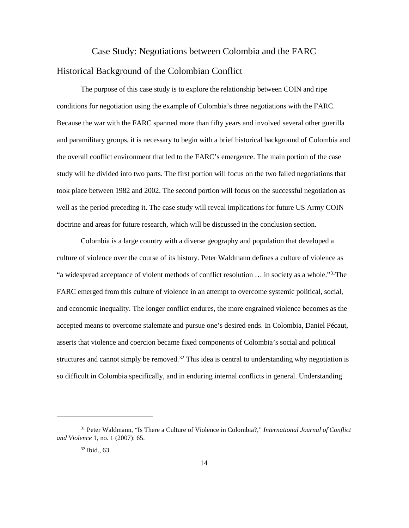# <span id="page-21-1"></span><span id="page-21-0"></span>Case Study: Negotiations between Colombia and the FARC Historical Background of the Colombian Conflict

The purpose of this case study is to explore the relationship between COIN and ripe conditions for negotiation using the example of Colombia's three negotiations with the FARC. Because the war with the FARC spanned more than fifty years and involved several other guerilla and paramilitary groups, it is necessary to begin with a brief historical background of Colombia and the overall conflict environment that led to the FARC's emergence. The main portion of the case study will be divided into two parts. The first portion will focus on the two failed negotiations that took place between 1982 and 2002. The second portion will focus on the successful negotiation as well as the period preceding it. The case study will reveal implications for future US Army COIN doctrine and areas for future research, which will be discussed in the conclusion section.

Colombia is a large country with a diverse geography and population that developed a culture of violence over the course of its history. Peter Waldmann defines a culture of violence as "a widespread acceptance of violent methods of conflict resolution … in society as a whole."[31T](#page-21-2)he FARC emerged from this culture of violence in an attempt to overcome systemic political, social, and economic inequality. The longer conflict endures, the more engrained violence becomes as the accepted means to overcome stalemate and pursue one's desired ends. In Colombia, Daniel Pécaut, asserts that violence and coercion became fixed components of Colombia's social and political structures and cannot simply be removed. $32$  This idea is central to understanding why negotiation is so difficult in Colombia specifically, and in enduring internal conflicts in general. Understanding

<span id="page-21-3"></span><span id="page-21-2"></span><sup>31</sup> Peter Waldmann, "Is There a Culture of Violence in Colombia?," *International Journal of Conflict and Violence* 1, no. 1 (2007): 65.

<sup>32</sup> Ibid., 63.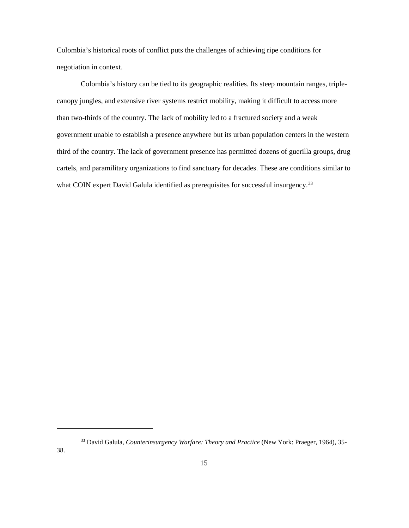Colombia's historical roots of conflict puts the challenges of achieving ripe conditions for negotiation in context.

Colombia's history can be tied to its geographic realities. Its steep mountain ranges, triplecanopy jungles, and extensive river systems restrict mobility, making it difficult to access more than two-thirds of the country. The lack of mobility led to a fractured society and a weak government unable to establish a presence anywhere but its urban population centers in the western third of the country. The lack of government presence has permitted dozens of guerilla groups, drug cartels, and paramilitary organizations to find sanctuary for decades. These are conditions similar to what COIN expert David Galula identified as prerequisites for successful insurgency.<sup>[33](#page-22-0)</sup>

<span id="page-22-0"></span><sup>33</sup> David Galula, *Counterinsurgency Warfare: Theory and Practice* (New York: Praeger, 1964), 35-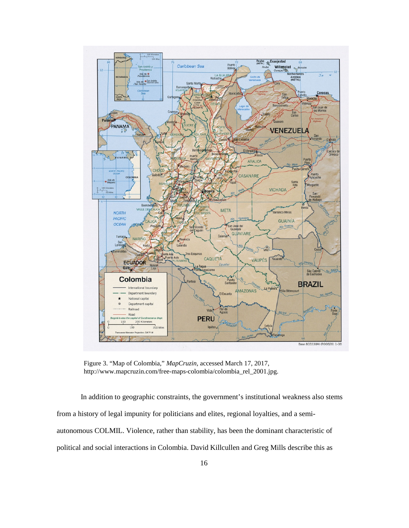

<span id="page-23-0"></span>Figure 3. "Map of Colombia," *MapCruzin*, accessed March 17, 2017, http://www.mapcruzin.com/free-maps-colombia/colombia\_rel\_2001.jpg.

In addition to geographic constraints, the government's institutional weakness also stems from a history of legal impunity for politicians and elites, regional loyalties, and a semiautonomous COLMIL. Violence, rather than stability, has been the dominant characteristic of political and social interactions in Colombia. David Killcullen and Greg Mills describe this as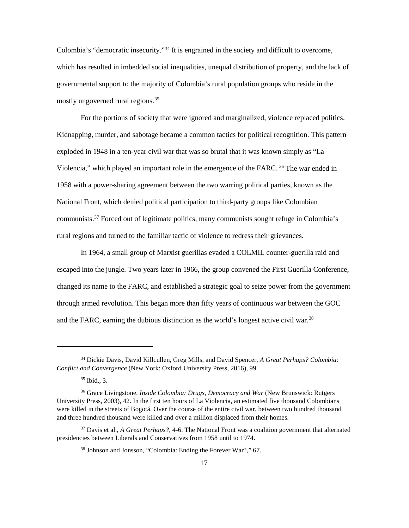Colombia's "democratic insecurity."[34](#page-24-0) It is engrained in the society and difficult to overcome, which has resulted in imbedded social inequalities, unequal distribution of property, and the lack of governmental support to the majority of Colombia's rural population groups who reside in the mostly ungoverned rural regions. [35](#page-24-1)

For the portions of society that were ignored and marginalized, violence replaced politics. Kidnapping, murder, and sabotage became a common tactics for political recognition. This pattern exploded in 1948 in a ten-year civil war that was so brutal that it was known simply as "La Violencia," which played an important role in the emergence of the FARC. <sup>[36](#page-24-2)</sup> The war ended in 1958 with a power-sharing agreement between the two warring political parties, known as the National Front, which denied political participation to third-party groups like Colombian communists. [37](#page-24-3) Forced out of legitimate politics, many communists sought refuge in Colombia's rural regions and turned to the familiar tactic of violence to redress their grievances.

In 1964, a small group of Marxist guerillas evaded a COLMIL counter-guerilla raid and escaped into the jungle*.* Two years later in 1966, the group convened the First Guerilla Conference, changed its name to the FARC, and established a strategic goal to seize power from the government through armed revolution. This began more than fifty years of continuous war between the GOC and the FARC, earning the dubious distinction as the world's longest active civil war.<sup>[38](#page-24-4)</sup>

<span id="page-24-0"></span><sup>34</sup> Dickie Davis, David Killcullen, Greg Mills, and David Spencer, *A Great Perhaps? Colombia: Conflict and Convergence* (New York: Oxford University Press, 2016), 99.

 $35$  Ibid., 3.

<span id="page-24-2"></span><span id="page-24-1"></span><sup>36</sup> Grace Livingstone, *Inside Colombia: Drugs, Democracy and War* (New Brunswick: Rutgers University Press, 2003), 42. In the first ten hours of La Violencia, an estimated five thousand Colombians were killed in the streets of Bogotá. Over the course of the entire civil war, between two hundred thousand and three hundred thousand were killed and over a million displaced from their homes.

<span id="page-24-4"></span><span id="page-24-3"></span><sup>37</sup> Davis et al., *A Great Perhaps?*, 4-6. The National Front was a coalition government that alternated presidencies between Liberals and Conservatives from 1958 until to 1974.

<sup>38</sup> Johnson and Jonsson, "Colombia: Ending the Forever War?," 67.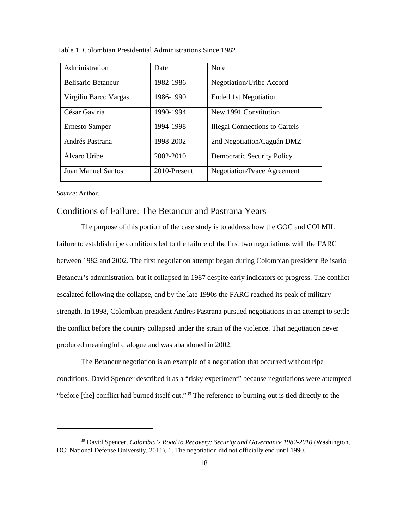| Administration        | Date         | <b>Note</b>                           |
|-----------------------|--------------|---------------------------------------|
| Belisario Betancur    | 1982-1986    | Negotiation/Uribe Accord              |
| Virgilio Barco Vargas | 1986-1990    | <b>Ended 1st Negotiation</b>          |
| César Gaviria         | 1990-1994    | New 1991 Constitution                 |
| <b>Ernesto Samper</b> | 1994-1998    | <b>Illegal Connections to Cartels</b> |
| Andrés Pastrana       | 1998-2002    | 2nd Negotiation/Caguán DMZ            |
| Alvaro Uribe          | 2002-2010    | <b>Democratic Security Policy</b>     |
| Juan Manuel Santos    | 2010-Present | <b>Negotiation/Peace Agreement</b>    |

<span id="page-25-1"></span>Table 1. Colombian Presidential Administrations Since 1982

<span id="page-25-0"></span>*Source*: Author.

**.** 

#### Conditions of Failure: The Betancur and Pastrana Years

The purpose of this portion of the case study is to address how the GOC and COLMIL failure to establish ripe conditions led to the failure of the first two negotiations with the FARC between 1982 and 2002. The first negotiation attempt began during Colombian president Belisario Betancur's administration, but it collapsed in 1987 despite early indicators of progress. The conflict escalated following the collapse, and by the late 1990s the FARC reached its peak of military strength. In 1998, Colombian president Andres Pastrana pursued negotiations in an attempt to settle the conflict before the country collapsed under the strain of the violence. That negotiation never produced meaningful dialogue and was abandoned in 2002.

The Betancur negotiation is an example of a negotiation that occurred without ripe conditions. David Spencer described it as a "risky experiment" because negotiations were attempted "before [the] conflict had burned itself out."<sup>39</sup> The reference to burning out is tied directly to the

<span id="page-25-2"></span><sup>39</sup> David Spencer, *Colombia's Road to Recovery: Security and Governance 1982-2010* (Washington, DC: National Defense University, 2011), 1. The negotiation did not officially end until 1990.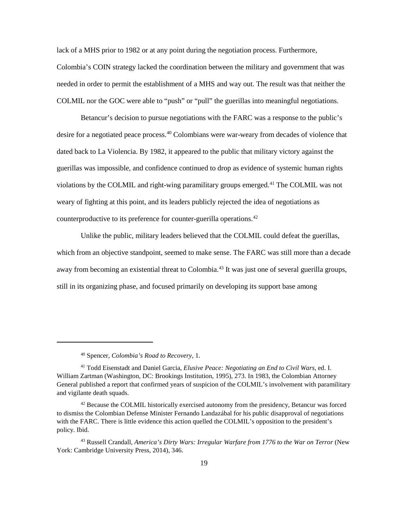lack of a MHS prior to 1982 or at any point during the negotiation process. Furthermore, Colombia's COIN strategy lacked the coordination between the military and government that was needed in order to permit the establishment of a MHS and way out. The result was that neither the COLMIL nor the GOC were able to "push" or "pull" the guerillas into meaningful negotiations.

Betancur's decision to pursue negotiations with the FARC was a response to the public's desire for a negotiated peace process.<sup>[40](#page-26-0)</sup> Colombians were war-weary from decades of violence that dated back to La Violencia. By 1982, it appeared to the public that military victory against the guerillas was impossible, and confidence continued to drop as evidence of systemic human rights violations by the COLMIL and right-wing paramilitary groups emerged. [41](#page-26-1) The COLMIL was not weary of fighting at this point, and its leaders publicly rejected the idea of negotiations as counterproductive to its preference for counter-guerilla operations.[42](#page-26-2)

Unlike the public, military leaders believed that the COLMIL could defeat the guerillas, which from an objective standpoint, seemed to make sense. The FARC was still more than a decade away from becoming an existential threat to Colombia.<sup>[43](#page-26-3)</sup> It was just one of several guerilla groups, still in its organizing phase, and focused primarily on developing its support base among

<sup>40</sup> Spencer, *Colombia's Road to Recovery,* 1.

<span id="page-26-1"></span><span id="page-26-0"></span><sup>41</sup> Todd Eisenstadt and Daniel Garcia, *Elusive Peace: Negotiating an End to Civil Wars*, ed. I. William Zartman (Washington, DC: Brookings Institution, 1995), 273. In 1983, the Colombian Attorney General published a report that confirmed years of suspicion of the COLMIL's involvement with paramilitary and vigilante death squads.

<span id="page-26-2"></span><sup>&</sup>lt;sup>42</sup> Because the COLMIL historically exercised autonomy from the presidency, Betancur was forced to dismiss the Colombian Defense Minister Fernando Landazábal for his public disapproval of negotiations with the FARC. There is little evidence this action quelled the COLMIL's opposition to the president's policy. Ibid.

<span id="page-26-3"></span><sup>43</sup> Russell Crandall, *America's Dirty Wars: Irregular Warfare from 1776 to the War on Terror* (New York: Cambridge University Press, 2014), 346.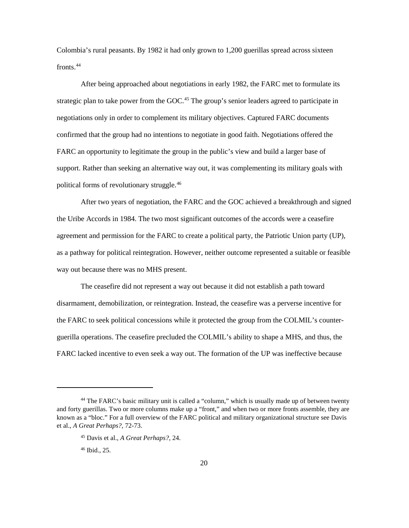Colombia's rural peasants. By 1982 it had only grown to 1,200 guerillas spread across sixteen fronts. [44](#page-27-0)

After being approached about negotiations in early 1982, the FARC met to formulate its strategic plan to take power from the GOC.<sup>[45](#page-27-1)</sup> The group's senior leaders agreed to participate in negotiations only in order to complement its military objectives. Captured FARC documents confirmed that the group had no intentions to negotiate in good faith. Negotiations offered the FARC an opportunity to legitimate the group in the public's view and build a larger base of support. Rather than seeking an alternative way out, it was complementing its military goals with political forms of revolutionary struggle.[46](#page-27-2)

After two years of negotiation, the FARC and the GOC achieved a breakthrough and signed the Uribe Accords in 1984. The two most significant outcomes of the accords were a ceasefire agreement and permission for the FARC to create a political party, the Patriotic Union party (UP), as a pathway for political reintegration. However, neither outcome represented a suitable or feasible way out because there was no MHS present.

The ceasefire did not represent a way out because it did not establish a path toward disarmament, demobilization, or reintegration. Instead, the ceasefire was a perverse incentive for the FARC to seek political concessions while it protected the group from the COLMIL's counterguerilla operations. The ceasefire precluded the COLMIL's ability to shape a MHS, and thus, the FARC lacked incentive to even seek a way out. The formation of the UP was ineffective because

<span id="page-27-2"></span><span id="page-27-1"></span><span id="page-27-0"></span><sup>44</sup> The FARC's basic military unit is called a "column," which is usually made up of between twenty and forty guerillas. Two or more columns make up a "front," and when two or more fronts assemble, they are known as a "bloc." For a full overview of the FARC political and military organizational structure see Davis et al., *A Great Perhaps?*, 72-73.

<sup>45</sup> Davis et al., *A Great Perhaps?*, 24.

<sup>46</sup> Ibid., 25.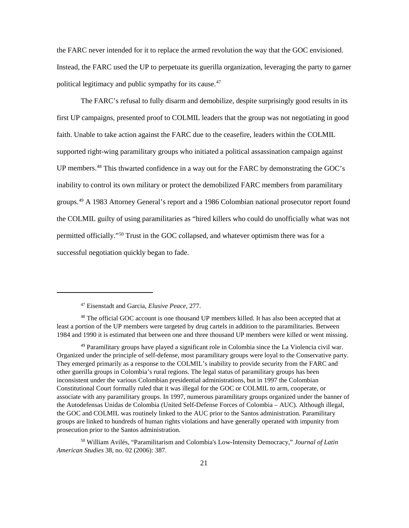the FARC never intended for it to replace the armed revolution the way that the GOC envisioned. Instead, the FARC used the UP to perpetuate its guerilla organization, leveraging the party to garner political legitimacy and public sympathy for its cause.<sup>[47](#page-28-0)</sup>

The FARC's refusal to fully disarm and demobilize, despite surprisingly good results in its first UP campaigns, presented proof to COLMIL leaders that the group was not negotiating in good faith. Unable to take action against the FARC due to the ceasefire, leaders within the COLMIL supported right-wing paramilitary groups who initiated a political assassination campaign against UP members.<sup>[48](#page-28-1)</sup> This thwarted confidence in a way out for the FARC by demonstrating the GOC's inability to control its own military or protect the demobilized FARC members from paramilitary groups. [49](#page-28-2) A 1983 Attorney General's report and a 1986 Colombian national prosecutor report found the COLMIL guilty of using paramilitaries as "hired killers who could do unofficially what was not permitted officially."[50](#page-28-3) Trust in the GOC collapsed, and whatever optimism there was for a successful negotiation quickly began to fade.

<sup>47</sup> Eisenstadt and Garcia, *Elusive Peace*, 277.

<span id="page-28-1"></span><span id="page-28-0"></span><sup>48</sup> The official GOC account is one thousand UP members killed. It has also been accepted that at least a portion of the UP members were targeted by drug cartels in addition to the paramilitaries. Between 1984 and 1990 it is estimated that between one and three thousand UP members were killed or went missing.

<span id="page-28-2"></span><sup>49</sup> Paramilitary groups have played a significant role in Colombia since the La Violencia civil war. Organized under the principle of self-defense, most paramilitary groups were loyal to the Conservative party. They emerged primarily as a response to the COLMIL's inability to provide security from the FARC and other guerilla groups in Colombia's rural regions. The legal status of paramilitary groups has been inconsistent under the various Colombian presidential administrations, but in 1997 the Colombian Constitutional Court formally ruled that it was illegal for the GOC or COLMIL to arm, cooperate, or associate with any paramilitary groups. In 1997, numerous paramilitary groups organized under the banner of the Autodefensas Unidas de Colombia (United Self-Defense Forces of Colombia – AUC). Although illegal, the GOC and COLMIL was routinely linked to the AUC prior to the Santos administration. Paramilitary groups are linked to hundreds of human rights violations and have generally operated with impunity from prosecution prior to the Santos administration.

<span id="page-28-3"></span><sup>50</sup> William Avilés, "Paramilitarism and Colombia's Low-Intensity Democracy," *Journal of Latin American Studies* 38, no. 02 (2006): 387.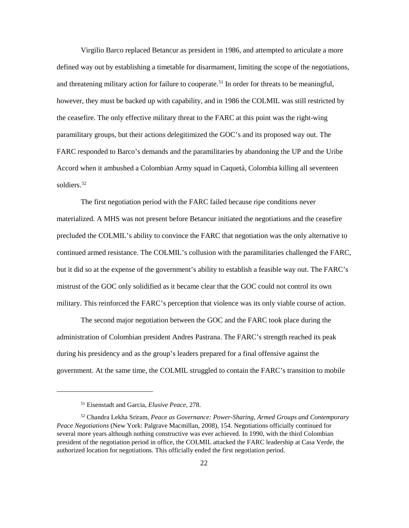Virgilio Barco replaced Betancur as president in 1986, and attempted to articulate a more defined way out by establishing a timetable for disarmament, limiting the scope of the negotiations, and threatening military action for failure to cooperate.<sup>51</sup> In order for threats to be meaningful, however, they must be backed up with capability, and in 1986 the COLMIL was still restricted by the ceasefire. The only effective military threat to the FARC at this point was the right-wing paramilitary groups, but their actions delegitimized the GOC's and its proposed way out. The FARC responded to Barco's demands and the paramilitaries by abandoning the UP and the Uribe Accord when it ambushed a Colombian Army squad in Caquetá, Colombia killing all seventeen soldiers. [52](#page-29-1)

The first negotiation period with the FARC failed because ripe conditions never materialized. A MHS was not present before Betancur initiated the negotiations and the ceasefire precluded the COLMIL's ability to convince the FARC that negotiation was the only alternative to continued armed resistance. The COLMIL's collusion with the paramilitaries challenged the FARC, but it did so at the expense of the government's ability to establish a feasible way out. The FARC's mistrust of the GOC only solidified as it became clear that the GOC could not control its own military. This reinforced the FARC's perception that violence was its only viable course of action.

The second major negotiation between the GOC and the FARC took place during the administration of Colombian president Andres Pastrana. The FARC's strength reached its peak during his presidency and as the group's leaders prepared for a final offensive against the government. At the same time, the COLMIL struggled to contain the FARC's transition to mobile

<sup>51</sup> Eisenstadt and Garcia, *Elusive Peace*, 278.

<span id="page-29-1"></span><span id="page-29-0"></span><sup>52</sup> Chandra Lekha Sriram, *Peace as Governance: Power-Sharing, Armed Groups and Contemporary Peace Negotiations* (New York: Palgrave Macmillan, 2008), 154. Negotiations officially continued for several more years although nothing constructive was ever achieved. In 1990, with the third Colombian president of the negotiation period in office, the COLMIL attacked the FARC leadership at Casa Verde, the authorized location for negotiations. This officially ended the first negotiation period.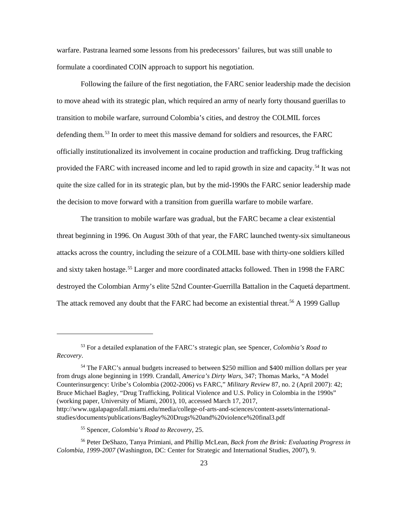warfare. Pastrana learned some lessons from his predecessors' failures, but was still unable to formulate a coordinated COIN approach to support his negotiation.

Following the failure of the first negotiation, the FARC senior leadership made the decision to move ahead with its strategic plan, which required an army of nearly forty thousand guerillas to transition to mobile warfare, surround Colombia's cities, and destroy the COLMIL forces defending them.<sup>[53](#page-30-0)</sup> In order to meet this massive demand for soldiers and resources, the FARC officially institutionalized its involvement in cocaine production and trafficking. Drug trafficking provided the FARC with increased income and led to rapid growth in size and capacity.<sup>[54](#page-30-1)</sup> It was not quite the size called for in its strategic plan, but by the mid-1990s the FARC senior leadership made the decision to move forward with a transition from guerilla warfare to mobile warfare.

The transition to mobile warfare was gradual, but the FARC became a clear existential threat beginning in 1996. On August 30th of that year, the FARC launched twenty-six simultaneous attacks across the country, including the seizure of a COLMIL base with thirty-one soldiers killed and sixty taken hostage. [55](#page-30-2) Larger and more coordinated attacks followed. Then in 1998 the FARC destroyed the Colombian Army's elite 52nd Counter-Guerrilla Battalion in the Caquetá department. The attack removed any doubt that the FARC had become an existential threat.<sup>[56](#page-30-3)</sup> A 1999 Gallup

<span id="page-30-1"></span><sup>54</sup> The FARC's annual budgets increased to between \$250 million and \$400 million dollars per year from drugs alone beginning in 1999. Crandall, *America's Dirty Wars,* 347; Thomas Marks, "A Model Counterinsurgency: Uribe's Colombia (2002-2006) vs FARC," *Military Review* 87, no. 2 (April 2007): 42; Bruce Michael Bagley, "Drug Trafficking, Political Violence and U.S. Policy in Colombia in the 1990s" (working paper, University of Miami, 2001), 10, accessed March 17, 2017, http://www.ugalapagosfall.miami.edu/media/college-of-arts-and-sciences/content-assets/internationalstudies/documents/publications/Bagley%20Drugs%20and%20violence%20final3.pdf

<span id="page-30-0"></span><sup>53</sup> For a detailed explanation of the FARC's strategic plan, see Spencer, *Colombia's Road to Recovery*.

<sup>55</sup> Spencer, *Colombia's Road to Recovery,* 25.

<span id="page-30-3"></span><span id="page-30-2"></span><sup>56</sup> Peter DeShazo, Tanya Primiani, and Phillip McLean, *Back from the Brink: Evaluating Progress in Colombia, 1999-2007* (Washington, DC: Center for Strategic and International Studies, 2007), 9.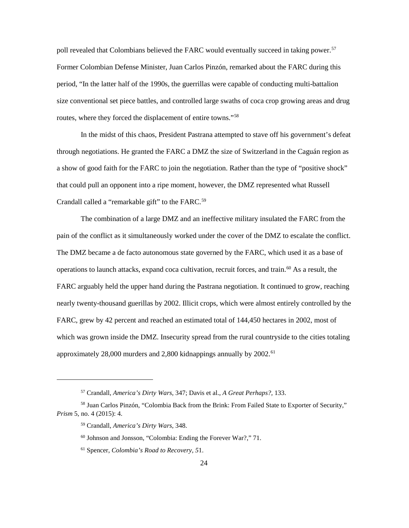poll revealed that Colombians believed the FARC would eventually succeed in taking power.<sup>[57](#page-31-0)</sup> Former Colombian Defense Minister, Juan Carlos Pinzón, remarked about the FARC during this period, "In the latter half of the 1990s, the guerrillas were capable of conducting multi-battalion size conventional set piece battles, and controlled large swaths of coca crop growing areas and drug routes, where they forced the displacement of entire towns."[58](#page-31-1)

In the midst of this chaos, President Pastrana attempted to stave off his government's defeat through negotiations. He granted the FARC a DMZ the size of Switzerland in the Caguán region as a show of good faith for the FARC to join the negotiation. Rather than the type of "positive shock" that could pull an opponent into a ripe moment, however, the DMZ represented what Russell Crandall called a "remarkable gift" to the FARC.<sup>[59](#page-31-2)</sup>

The combination of a large DMZ and an ineffective military insulated the FARC from the pain of the conflict as it simultaneously worked under the cover of the DMZ to escalate the conflict. The DMZ became a de facto autonomous state governed by the FARC, which used it as a base of operations to launch attacks, expand coca cultivation, recruit forces, and train.<sup>[60](#page-31-3)</sup> As a result, the FARC arguably held the upper hand during the Pastrana negotiation. It continued to grow, reaching nearly twenty-thousand guerillas by 2002. Illicit crops, which were almost entirely controlled by the FARC, grew by 42 percent and reached an estimated total of 144,450 hectares in 2002, most of which was grown inside the DMZ. Insecurity spread from the rural countryside to the cities totaling approximately  $28,000$  murders and  $2,800$  kidnappings annually by  $2002$ .<sup>[61](#page-31-4)</sup>

<sup>57</sup> Crandall, *America's Dirty Wars,* 347; Davis et al., *A Great Perhaps?,* 133.

<span id="page-31-4"></span><span id="page-31-3"></span><span id="page-31-2"></span><span id="page-31-1"></span><span id="page-31-0"></span><sup>58</sup> Juan Carlos Pinzón, "Colombia Back from the Brink: From Failed State to Exporter of Security," *Prism* 5, no. 4 (2015): 4.

<sup>59</sup> Crandall, *America's Dirty Wars,* 348.

<sup>60</sup> Johnson and Jonsson, "Colombia: Ending the Forever War?," 71.

<sup>61</sup> Spencer, *Colombia's Road to Recovery, 5*1.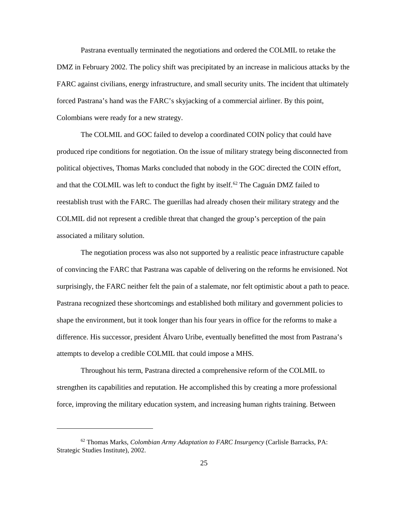Pastrana eventually terminated the negotiations and ordered the COLMIL to retake the DMZ in February 2002. The policy shift was precipitated by an increase in malicious attacks by the FARC against civilians, energy infrastructure, and small security units. The incident that ultimately forced Pastrana's hand was the FARC's skyjacking of a commercial airliner. By this point, Colombians were ready for a new strategy.

The COLMIL and GOC failed to develop a coordinated COIN policy that could have produced ripe conditions for negotiation. On the issue of military strategy being disconnected from political objectives, Thomas Marks concluded that nobody in the GOC directed the COIN effort, and that the COLMIL was left to conduct the fight by itself.<sup>[62](#page-32-0)</sup> The Caguán DMZ failed to reestablish trust with the FARC. The guerillas had already chosen their military strategy and the COLMIL did not represent a credible threat that changed the group's perception of the pain associated a military solution.

The negotiation process was also not supported by a realistic peace infrastructure capable of convincing the FARC that Pastrana was capable of delivering on the reforms he envisioned. Not surprisingly, the FARC neither felt the pain of a stalemate, nor felt optimistic about a path to peace. Pastrana recognized these shortcomings and established both military and government policies to shape the environment, but it took longer than his four years in office for the reforms to make a difference. His successor, president Álvaro Uribe, eventually benefitted the most from Pastrana's attempts to develop a credible COLMIL that could impose a MHS.

Throughout his term, Pastrana directed a comprehensive reform of the COLMIL to strengthen its capabilities and reputation. He accomplished this by creating a more professional force, improving the military education system, and increasing human rights training. Between

<span id="page-32-0"></span><sup>62</sup> Thomas Marks, *Colombian Army Adaptation to FARC Insurgency* (Carlisle Barracks, PA: Strategic Studies Institute), 2002.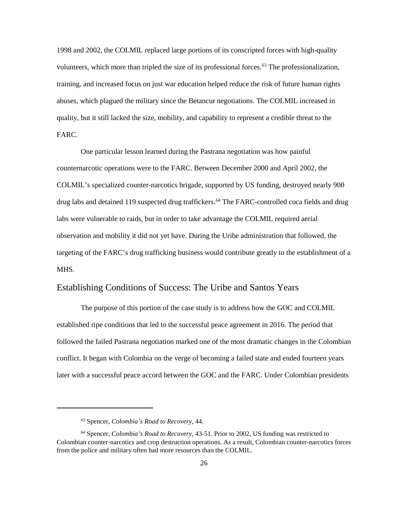1998 and 2002, the COLMIL replaced large portions of its conscripted forces with high-quality volunteers, which more than tripled the size of its professional forces.[63](#page-33-1) The professionalization, training, and increased focus on just war education helped reduce the risk of future human rights abuses, which plagued the military since the Betancur negotiations. The COLMIL increased in quality, but it still lacked the size, mobility, and capability to represent a credible threat to the FARC.

One particular lesson learned during the Pastrana negotiation was how painful counternarcotic operations were to the FARC. Between December 2000 and April 2002, the COLMIL's specialized counter-narcotics brigade, supported by US funding, destroyed nearly 900 drug labs and detained 119 suspected drug traffickers.<sup>[64](#page-33-2)</sup> The FARC-controlled coca fields and drug labs were vulnerable to raids, but in order to take advantage the COLMIL required aerial observation and mobility it did not yet have. During the Uribe administration that followed, the targeting of the FARC's drug trafficking business would contribute greatly to the establishment of a MHS.

#### <span id="page-33-0"></span>Establishing Conditions of Success: The Uribe and Santos Years

The purpose of this portion of the case study is to address how the GOC and COLMIL established ripe conditions that led to the successful peace agreement in 2016. The period that followed the failed Pastrana negotiation marked one of the most dramatic changes in the Colombian conflict. It began with Colombia on the verge of becoming a failed state and ended fourteen years later with a successful peace accord between the GOC and the FARC. Under Colombian presidents

<sup>63</sup> Spencer, *Colombia's Road to Recovery,* 44.

<span id="page-33-2"></span><span id="page-33-1"></span><sup>64</sup> Spencer, *Colombia's Road to Recovery,* 43-51. Prior to 2002, US funding was restricted to Colombian counter-narcotics and crop destruction operations. As a result, Colombian counter-narcotics forces from the police and military often had more resources than the COLMIL.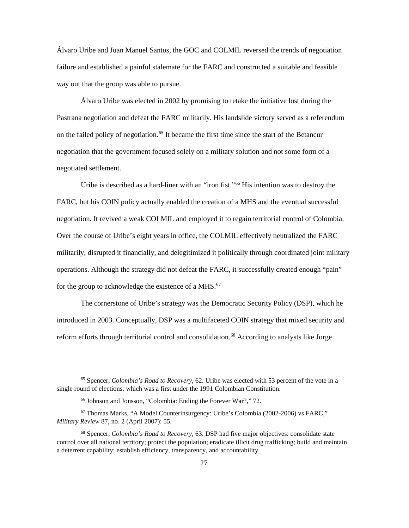Álvaro Uribe and Juan Manuel Santos, the GOC and COLMIL reversed the trends of negotiation failure and established a painful stalemate for the FARC and constructed a suitable and feasible way out that the group was able to pursue.

Álvaro Uribe was elected in 2002 by promising to retake the initiative lost during the Pastrana negotiation and defeat the FARC militarily. His landslide victory served as a referendum on the failed policy of negotiation. [65](#page-34-0) It became the first time since the start of the Betancur negotiation that the government focused solely on a military solution and not some form of a negotiated settlement.

Uribe is described as a hard-liner with an "iron fist.["66](#page-34-1) His intention was to destroy the FARC, but his COIN policy actually enabled the creation of a MHS and the eventual successful negotiation. It revived a weak COLMIL and employed it to regain territorial control of Colombia. Over the course of Uribe's eight years in office, the COLMIL effectively neutralized the FARC militarily, disrupted it financially, and delegitimized it politically through coordinated joint military operations. Although the strategy did not defeat the FARC, it successfully created enough "pain" for the group to acknowledge the existence of a MHS.<sup>[67](#page-34-2)</sup>

The cornerstone of Uribe's strategy was the Democratic Security Policy (DSP), which he introduced in 2003. Conceptually, DSP was a multifaceted COIN strategy that mixed security and reform efforts through territorial control and consolidation.<sup>68</sup> According to analysts like Jorge

<span id="page-34-0"></span><sup>65</sup> Spencer, *Colombia's Road to Recovery,* 62. Uribe was elected with 53 percent of the vote in a single round of elections, which was a first under the 1991 Colombian Constitution.

<sup>66</sup> Johnson and Jonsson, "Colombia: Ending the Forever War?," 72.

<span id="page-34-2"></span><span id="page-34-1"></span><sup>67</sup> Thomas Marks, "A Model Counterinsurgency: Uribe's Colombia (2002-2006) vs FARC," *Military Review* 87, no. 2 (April 2007): 55.

<span id="page-34-3"></span><sup>68</sup> Spencer, *Colombia's Road to Recovery,* 63. DSP had five major objectives: consolidate state control over all national territory; protect the population; eradicate illicit drug trafficking; build and maintain a deterrent capability; establish efficiency, transparency, and accountability.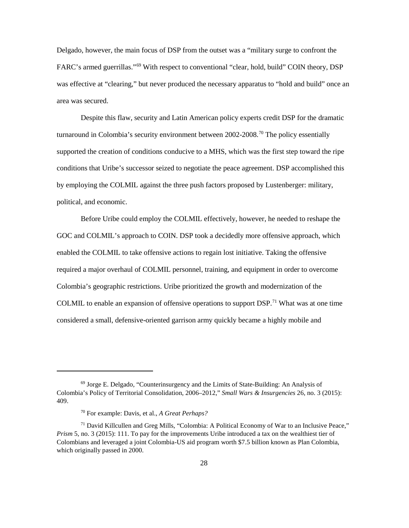Delgado, however, the main focus of DSP from the outset was a "military surge to confront the FARC's armed guerrillas."[69](#page-35-0) With respect to conventional "clear, hold, build" COIN theory, DSP was effective at "clearing," but never produced the necessary apparatus to "hold and build" once an area was secured.

Despite this flaw, security and Latin American policy experts credit DSP for the dramatic turnaround in Colombia's security environment between  $2002-2008$ <sup>[70](#page-35-1)</sup>. The policy essentially supported the creation of conditions conducive to a MHS, which was the first step toward the ripe conditions that Uribe's successor seized to negotiate the peace agreement. DSP accomplished this by employing the COLMIL against the three push factors proposed by Lustenberger: military, political, and economic.

Before Uribe could employ the COLMIL effectively, however, he needed to reshape the GOC and COLMIL's approach to COIN. DSP took a decidedly more offensive approach, which enabled the COLMIL to take offensive actions to regain lost initiative. Taking the offensive required a major overhaul of COLMIL personnel, training, and equipment in order to overcome Colombia's geographic restrictions. Uribe prioritized the growth and modernization of the COLMIL to enable an expansion of offensive operations to support DSP.[71](#page-35-2) What was at one time considered a small, defensive-oriented garrison army quickly became a highly mobile and

<span id="page-35-0"></span> $69$  Jorge E. Delgado, "Counterinsurgency and the Limits of State-Building: An Analysis of Colombia's Policy of Territorial Consolidation, 2006–2012," *Small Wars & Insurgencies* 26, no. 3 (2015): 409.

<sup>70</sup> For example: Davis, et al., *A Great Perhaps?* 

<span id="page-35-2"></span><span id="page-35-1"></span><sup>71</sup> David Killcullen and Greg Mills, "Colombia: A Political Economy of War to an Inclusive Peace," *Prism* 5, no. 3 (2015): 111. To pay for the improvements Uribe introduced a tax on the wealthiest tier of Colombians and leveraged a joint Colombia-US aid program worth \$7.5 billion known as Plan Colombia, which originally passed in 2000.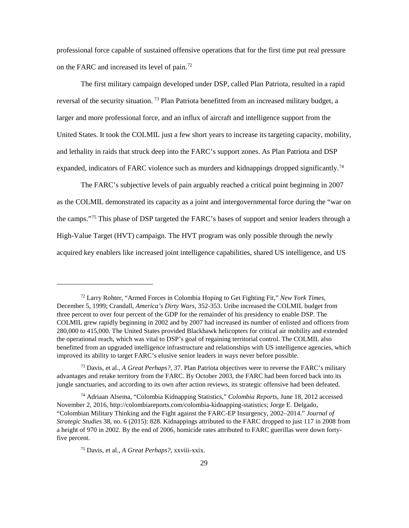professional force capable of sustained offensive operations that for the first time put real pressure on the FARC and increased its level of pain. [72](#page-36-0)

The first military campaign developed under DSP, called Plan Patriota, resulted in a rapid reversal of the security situation. [73](#page-36-1) Plan Patriota benefitted from an increased military budget, a larger and more professional force, and an influx of aircraft and intelligence support from the United States. It took the COLMIL just a few short years to increase its targeting capacity, mobility, and lethality in raids that struck deep into the FARC's support zones. As Plan Patriota and DSP expanded, indicators of FARC violence such as murders and kidnappings dropped significantly.<sup>[74](#page-36-2)</sup>

The FARC's subjective levels of pain arguably reached a critical point beginning in 2007 as the COLMIL demonstrated its capacity as a joint and intergovernmental force during the "war on the camps."[75](#page-36-3) This phase of DSP targeted the FARC's bases of support and senior leaders through a High-Value Target (HVT) campaign. The HVT program was only possible through the newly acquired key enablers like increased joint intelligence capabilities, shared US intelligence, and US

<span id="page-36-0"></span><sup>72</sup> Larry Rohter, "Armed Forces in Colombia Hoping to Get Fighting Fit," *New York Times,* December 5, 1999; Crandall, *America's Dirty Wars,* 352-353. Uribe increased the COLMIL budget from three percent to over four percent of the GDP for the remainder of his presidency to enable DSP. The COLMIL grew rapidly beginning in 2002 and by 2007 had increased its number of enlisted and officers from 280,000 to 415,000. The United States provided Blackhawk helicopters for critical air mobility and extended the operational reach, which was vital to DSP's goal of regaining territorial control. The COLMIL also benefitted from an upgraded intelligence infrastructure and relationships with US intelligence agencies, which improved its ability to target FARC's elusive senior leaders in ways never before possible.

<span id="page-36-1"></span><sup>73</sup> Davis, et al., *A Great Perhaps?, 3*7. Plan Patriota objectives were to reverse the FARC's military advantages and retake territory from the FARC. By October 2003, the FARC had been forced back into its jungle sanctuaries, and according to its own after action reviews, its strategic offensive had been defeated.

<span id="page-36-3"></span><span id="page-36-2"></span><sup>74</sup> Adriaan Alsema, "Colombia Kidnapping Statistics," *Colombia Reports,* June 18, 2012 accessed November 2, 2016, http://colombiareports.com/colombia-kidnapping-statistics; Jorge E. Delgado, "Colombian Military Thinking and the Fight against the FARC-EP Insurgency, 2002–2014." *Journal of Strategic Studies* 38, no. 6 (2015): 828. Kidnappings attributed to the FARC dropped to just 117 in 2008 from a height of 970 in 2002. By the end of 2006, homicide rates attributed to FARC guerillas were down fortyfive percent.

<sup>75</sup> Davis, et al., *A Great Perhaps?,* xxviii-xxix.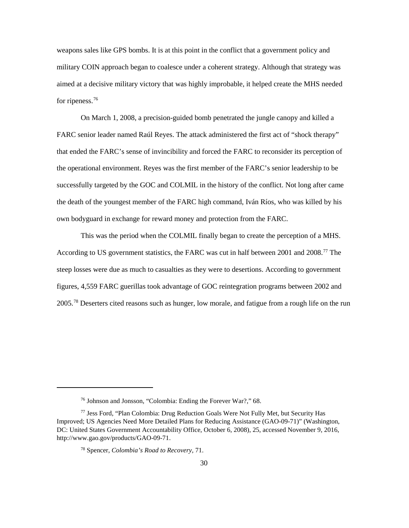weapons sales like GPS bombs. It is at this point in the conflict that a government policy and military COIN approach began to coalesce under a coherent strategy. Although that strategy was aimed at a decisive military victory that was highly improbable, it helped create the MHS needed for ripeness.<sup>[76](#page-37-0)</sup>

On March 1, 2008, a precision-guided bomb penetrated the jungle canopy and killed a FARC senior leader named Raúl Reyes. The attack administered the first act of "shock therapy" that ended the FARC's sense of invincibility and forced the FARC to reconsider its perception of the operational environment. Reyes was the first member of the FARC's senior leadership to be successfully targeted by the GOC and COLMIL in the history of the conflict. Not long after came the death of the youngest member of the FARC high command, Iván Ríos, who was killed by his own bodyguard in exchange for reward money and protection from the FARC.

This was the period when the COLMIL finally began to create the perception of a MHS. According to US government statistics, the FARC was cut in half between 2001 and 2008.<sup>[77](#page-37-1)</sup> The steep losses were due as much to casualties as they were to desertions. According to government figures, 4,559 FARC guerillas took advantage of GOC reintegration programs between 2002 and 2005.[78](#page-37-2) Deserters cited reasons such as hunger, low morale, and fatigue from a rough life on the run

<sup>76</sup> Johnson and Jonsson, "Colombia: Ending the Forever War?," 68.

<span id="page-37-2"></span><span id="page-37-1"></span><span id="page-37-0"></span><sup>77</sup> Jess Ford, "Plan Colombia: Drug Reduction Goals Were Not Fully Met, but Security Has Improved; US Agencies Need More Detailed Plans for Reducing Assistance (GAO-09-71)" (Washington, DC: United States Government Accountability Office, October 6, 2008), 25, accessed November 9, 2016, http://www.gao.gov/products/GAO-09-71.

<sup>78</sup> Spencer, *Colombia's Road to Recovery,* 71.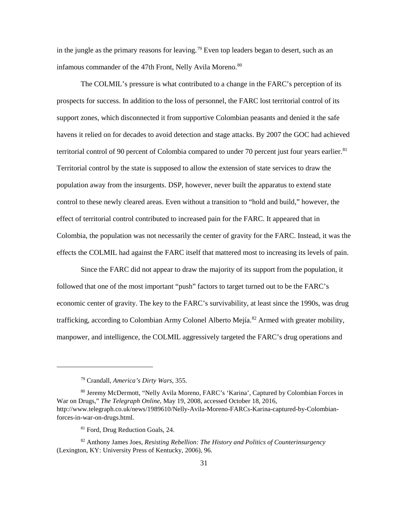in the jungle as the primary reasons for leaving.<sup>[79](#page-38-0)</sup> Even top leaders began to desert, such as an infamous commander of the 47th Front, Nelly Avila Moreno.<sup>80</sup>

The COLMIL's pressure is what contributed to a change in the FARC's perception of its prospects for success. In addition to the loss of personnel, the FARC lost territorial control of its support zones, which disconnected it from supportive Colombian peasants and denied it the safe havens it relied on for decades to avoid detection and stage attacks. By 2007 the GOC had achieved territorial control of 90 percent of Colombia compared to under 70 percent just four years earlier.<sup>[81](#page-38-2)</sup> Territorial control by the state is supposed to allow the extension of state services to draw the population away from the insurgents. DSP, however, never built the apparatus to extend state control to these newly cleared areas. Even without a transition to "hold and build," however, the effect of territorial control contributed to increased pain for the FARC. It appeared that in Colombia, the population was not necessarily the center of gravity for the FARC. Instead, it was the effects the COLMIL had against the FARC itself that mattered most to increasing its levels of pain.

Since the FARC did not appear to draw the majority of its support from the population, it followed that one of the most important "push" factors to target turned out to be the FARC's economic center of gravity. The key to the FARC's survivability, at least since the 1990s, was drug trafficking, according to Colombian Army Colonel Alberto Mejía.<sup>[82](#page-38-3)</sup> Armed with greater mobility, manpower, and intelligence, the COLMIL aggressively targeted the FARC's drug operations and

<sup>79</sup> Crandall, *America's Dirty Wars,* 355.

<span id="page-38-1"></span><span id="page-38-0"></span><sup>80</sup> Jeremy McDermott, "Nelly Avila Moreno, FARC's 'Karina', Captured by Colombian Forces in War on Drugs," *The Telegraph Online*, May 19, 2008, accessed October 18, 2016, http://www.telegraph.co.uk/news/1989610/Nelly-Avila-Moreno-FARCs-Karina-captured-by-Colombianforces-in-war-on-drugs.html.

<sup>81</sup> Ford, Drug Reduction Goals, 24.

<span id="page-38-3"></span><span id="page-38-2"></span><sup>82</sup> Anthony James Joes, *Resisting Rebellion: The History and Politics of Counterinsurgency* (Lexington, KY: University Press of Kentucky, 2006), 96.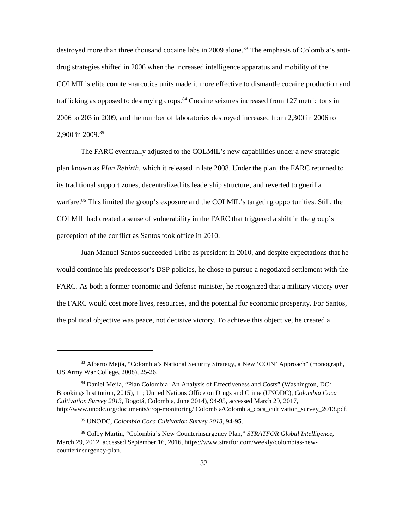destroyed more than three thousand cocaine labs in 2009 alone.<sup>[83](#page-39-0)</sup> The emphasis of Colombia's antidrug strategies shifted in 2006 when the increased intelligence apparatus and mobility of the COLMIL's elite counter-narcotics units made it more effective to dismantle cocaine production and trafficking as opposed to destroying crops.<sup>[84](#page-39-1)</sup> Cocaine seizures increased from 127 metric tons in 2006 to 203 in 2009, and the number of laboratories destroyed increased from 2,300 in 2006 to 2,900 in 2009.<sup>[85](#page-39-2)</sup>

The FARC eventually adjusted to the COLMIL's new capabilities under a new strategic plan known as *Plan Rebirth*, which it released in late 2008. Under the plan, the FARC returned to its traditional support zones, decentralized its leadership structure, and reverted to guerilla warfare.[86](#page-39-3) This limited the group's exposure and the COLMIL's targeting opportunities. Still, the COLMIL had created a sense of vulnerability in the FARC that triggered a shift in the group's perception of the conflict as Santos took office in 2010.

Juan Manuel Santos succeeded Uribe as president in 2010, and despite expectations that he would continue his predecessor's DSP policies, he chose to pursue a negotiated settlement with the FARC. As both a former economic and defense minister, he recognized that a military victory over the FARC would cost more lives, resources, and the potential for economic prosperity. For Santos, the political objective was peace, not decisive victory. To achieve this objective, he created a

<span id="page-39-0"></span><sup>83</sup> Alberto Mejía, "Colombia's National Security Strategy, a New 'COIN' Approach" (monograph, US Army War College, 2008), 25-26.

<span id="page-39-1"></span><sup>84</sup> Daniel Mejía, "Plan Colombia: An Analysis of Effectiveness and Costs" (Washington, DC*:*  Brookings Institution, 2015), 11; United Nations Office on Drugs and Crime (UNODC), *Colombia Coca Cultivation Survey 2013*, Bogotá, Colombia, June 2014), 94-95, accessed March 29, 2017, http://www.unodc.org/documents/crop-monitoring/ Colombia/Colombia\_coca\_cultivation\_survey\_2013.pdf.

<sup>85</sup> UNODC, *Colombia Coca Cultivation Survey 2013*, 94-95.

<span id="page-39-3"></span><span id="page-39-2"></span><sup>86</sup> Colby Martin, "Colombia's New Counterinsurgency Plan," *STRATFOR Global Intelligence*, March 29, 2012, accessed September 16, 2016, https://www.stratfor.com/weekly/colombias-newcounterinsurgency-plan.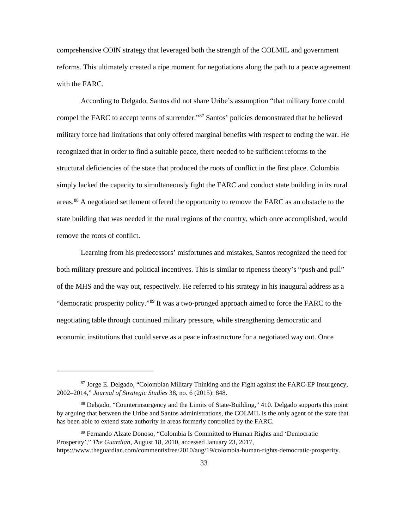comprehensive COIN strategy that leveraged both the strength of the COLMIL and government reforms. This ultimately created a ripe moment for negotiations along the path to a peace agreement with the FARC.

According to Delgado, Santos did not share Uribe's assumption "that military force could compel the FARC to accept terms of surrender."[87](#page-40-0) Santos' policies demonstrated that he believed military force had limitations that only offered marginal benefits with respect to ending the war. He recognized that in order to find a suitable peace, there needed to be sufficient reforms to the structural deficiencies of the state that produced the roots of conflict in the first place. Colombia simply lacked the capacity to simultaneously fight the FARC and conduct state building in its rural areas.<sup>[88](#page-40-1)</sup> A negotiated settlement offered the opportunity to remove the FARC as an obstacle to the state building that was needed in the rural regions of the country, which once accomplished, would remove the roots of conflict.

Learning from his predecessors' misfortunes and mistakes, Santos recognized the need for both military pressure and political incentives. This is similar to ripeness theory's "push and pull" of the MHS and the way out, respectively. He referred to his strategy in his inaugural address as a "democratic prosperity policy."[89](#page-40-2) It was a two-pronged approach aimed to force the FARC to the negotiating table through continued military pressure, while strengthening democratic and economic institutions that could serve as a peace infrastructure for a negotiated way out. Once

<span id="page-40-0"></span><sup>&</sup>lt;sup>87</sup> Jorge E. Delgado, "Colombian Military Thinking and the Fight against the FARC-EP Insurgency, 2002–2014," *Journal of Strategic Studies* 38, no. 6 (2015): 848.

<span id="page-40-1"></span><sup>88</sup> Delgado, "Counterinsurgency and the Limits of State-Building," 410. Delgado supports this point by arguing that between the Uribe and Santos administrations, the COLMIL is the only agent of the state that has been able to extend state authority in areas formerly controlled by the FARC.

<span id="page-40-2"></span><sup>89</sup> Fernando Alzate Donoso, "Colombia Is Committed to Human Rights and 'Democratic Prosperity'," *The Guardian*, August 18, 2010, accessed January 23, 2017, https://www.theguardian.com/commentisfree/2010/aug/19/colombia-human-rights-democratic-prosperity.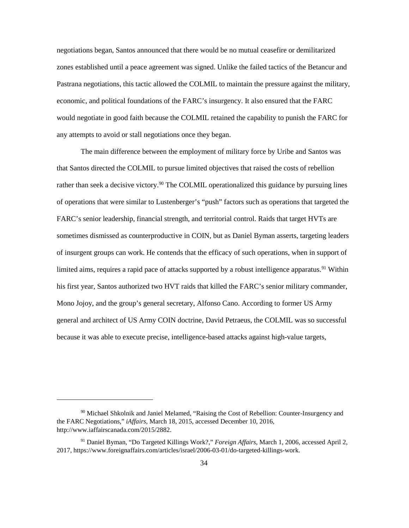negotiations began, Santos announced that there would be no mutual ceasefire or demilitarized zones established until a peace agreement was signed. Unlike the failed tactics of the Betancur and Pastrana negotiations, this tactic allowed the COLMIL to maintain the pressure against the military, economic, and political foundations of the FARC's insurgency. It also ensured that the FARC would negotiate in good faith because the COLMIL retained the capability to punish the FARC for any attempts to avoid or stall negotiations once they began.

The main difference between the employment of military force by Uribe and Santos was that Santos directed the COLMIL to pursue limited objectives that raised the costs of rebellion rather than seek a decisive victory.<sup>[90](#page-41-0)</sup> The COLMIL operationalized this guidance by pursuing lines of operations that were similar to Lustenberger's "push" factors such as operations that targeted the FARC's senior leadership, financial strength, and territorial control. Raids that target HVTs are sometimes dismissed as counterproductive in COIN, but as Daniel Byman asserts, targeting leaders of insurgent groups can work. He contends that the efficacy of such operations, when in support of limited aims, requires a rapid pace of attacks supported by a robust intelligence apparatus.<sup>[91](#page-41-1)</sup> Within his first year, Santos authorized two HVT raids that killed the FARC's senior military commander, Mono Jojoy, and the group's general secretary, Alfonso Cano. According to former US Army general and architect of US Army COIN doctrine, David Petraeus, the COLMIL was so successful because it was able to execute precise, intelligence-based attacks against high-value targets,

<span id="page-41-0"></span><sup>90</sup> [Michael Shkolnik and Janiel Melamed,](http://www.iaffairscanada.com/author/co-authors) "Raising the Cost of Rebellion: Counter-Insurgency and the FARC Negotiations," *iAffairs*, March 18, 2015, accessed December 10, 2016, http://www.iaffairscanada.com/2015/2882.

<span id="page-41-1"></span><sup>91</sup> Daniel Byman, "Do Targeted Killings Work?," *Foreign Affairs*, March 1, 2006, accessed April 2, 2017, https://www.foreignaffairs.com/articles/israel/2006-03-01/do-targeted-killings-work.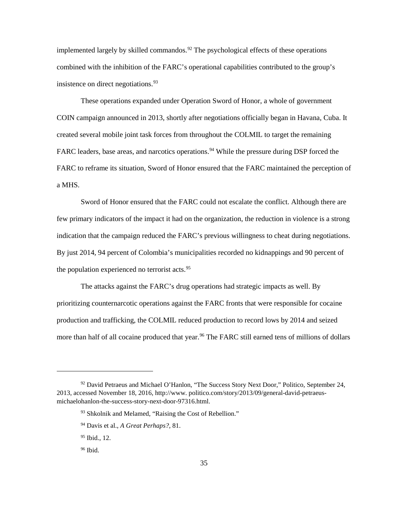implemented largely by skilled commandos.<sup>[92](#page-42-0)</sup> The psychological effects of these operations combined with the inhibition of the FARC's operational capabilities contributed to the group's insistence on direct negotiations.<sup>[93](#page-42-1)</sup>

These operations expanded under Operation Sword of Honor, a whole of government COIN campaign announced in 2013, shortly after negotiations officially began in Havana, Cuba. It created several mobile joint task forces from throughout the COLMIL to target the remaining FARC leaders, base areas, and narcotics operations.<sup>[94](#page-42-2)</sup> While the pressure during DSP forced the FARC to reframe its situation, Sword of Honor ensured that the FARC maintained the perception of a MHS.

Sword of Honor ensured that the FARC could not escalate the conflict. Although there are few primary indicators of the impact it had on the organization, the reduction in violence is a strong indication that the campaign reduced the FARC's previous willingness to cheat during negotiations. By just 2014, 94 percent of Colombia's municipalities recorded no kidnappings and 90 percent of the population experienced no terrorist acts.  $95$ 

The attacks against the FARC's drug operations had strategic impacts as well. By prioritizing counternarcotic operations against the FARC fronts that were responsible for cocaine production and trafficking, the COLMIL reduced production to record lows by 2014 and seized more than half of all cocaine produced that year.<sup>[96](#page-42-4)</sup> The FARC still earned tens of millions of dollars

<span id="page-42-3"></span><span id="page-42-2"></span><span id="page-42-1"></span><span id="page-42-0"></span><sup>&</sup>lt;sup>92</sup> David Petraeus and Michael O'Hanlon, "The Success Story Next Door," Politico, September 24, 2013, accessed November 18, 2016, http://www. politico.com/story/2013/09/general-david-petraeusmichaelohanlon-the-success-story-next-door-97316.html.

<sup>93</sup> Shkolnik and Melamed, "Raising the Cost of Rebellion."

<sup>94</sup> Davis et al., *A Great Perhaps?,* 81.

<sup>95</sup> Ibid., 12.

<span id="page-42-4"></span><sup>96</sup> Ibid.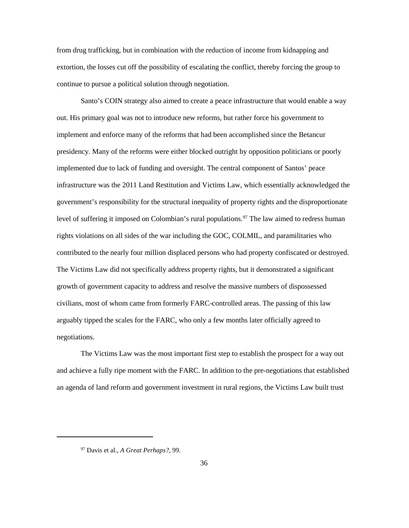from drug trafficking, but in combination with the reduction of income from kidnapping and extortion, the losses cut off the possibility of escalating the conflict, thereby forcing the group to continue to pursue a political solution through negotiation.

Santo's COIN strategy also aimed to create a peace infrastructure that would enable a way out. His primary goal was not to introduce new reforms, but rather force his government to implement and enforce many of the reforms that had been accomplished since the Betancur presidency. Many of the reforms were either blocked outright by opposition politicians or poorly implemented due to lack of funding and oversight. The central component of Santos' peace infrastructure was the 2011 Land Restitution and Victims Law, which essentially acknowledged the government's responsibility for the structural inequality of property rights and the disproportionate level of suffering it imposed on Colombian's rural populations.<sup>[97](#page-43-0)</sup> The law aimed to redress human rights violations on all sides of the war including the GOC, COLMIL, and paramilitaries who contributed to the nearly four million displaced persons who had property confiscated or destroyed. The Victims Law did not specifically address property rights, but it demonstrated a significant growth of government capacity to address and resolve the massive numbers of dispossessed civilians, most of whom came from formerly FARC-controlled areas. The passing of this law arguably tipped the scales for the FARC, who only a few months later officially agreed to negotiations.

The Victims Law was the most important first step to establish the prospect for a way out and achieve a fully ripe moment with the FARC. In addition to the pre-negotiations that established an agenda of land reform and government investment in rural regions, the Victims Law built trust

<span id="page-43-0"></span><sup>97</sup> Davis et al., *A Great Perhaps?,* 99.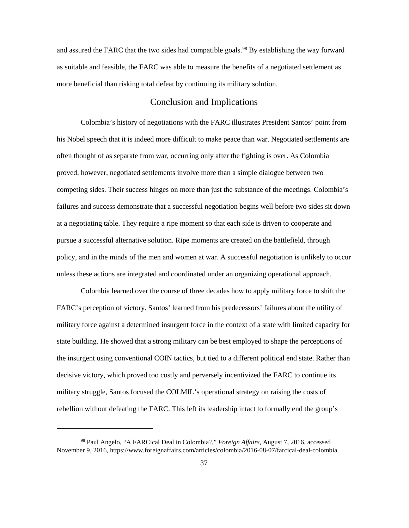and assured the FARC that the two sides had compatible goals.<sup>[98](#page-44-1)</sup> By establishing the way forward as suitable and feasible, the FARC was able to measure the benefits of a negotiated settlement as more beneficial than risking total defeat by continuing its military solution.

#### <span id="page-44-0"></span>Conclusion and Implications

Colombia's history of negotiations with the FARC illustrates President Santos' point from his Nobel speech that it is indeed more difficult to make peace than war. Negotiated settlements are often thought of as separate from war, occurring only after the fighting is over. As Colombia proved, however, negotiated settlements involve more than a simple dialogue between two competing sides. Their success hinges on more than just the substance of the meetings. Colombia's failures and success demonstrate that a successful negotiation begins well before two sides sit down at a negotiating table. They require a ripe moment so that each side is driven to cooperate and pursue a successful alternative solution. Ripe moments are created on the battlefield, through policy, and in the minds of the men and women at war. A successful negotiation is unlikely to occur unless these actions are integrated and coordinated under an organizing operational approach.

Colombia learned over the course of three decades how to apply military force to shift the FARC's perception of victory. Santos' learned from his predecessors' failures about the utility of military force against a determined insurgent force in the context of a state with limited capacity for state building. He showed that a strong military can be best employed to shape the perceptions of the insurgent using conventional COIN tactics, but tied to a different political end state. Rather than decisive victory, which proved too costly and perversely incentivized the FARC to continue its military struggle, Santos focused the COLMIL's operational strategy on raising the costs of rebellion without defeating the FARC. This left its leadership intact to formally end the group's

<span id="page-44-1"></span><sup>98</sup> Paul Angelo, "A FARCical Deal in Colombia?," *Foreign Affairs*, August 7, 2016, accessed November 9, 2016, https://www.foreignaffairs.com/articles/colombia/2016-08-07/farcical-deal-colombia.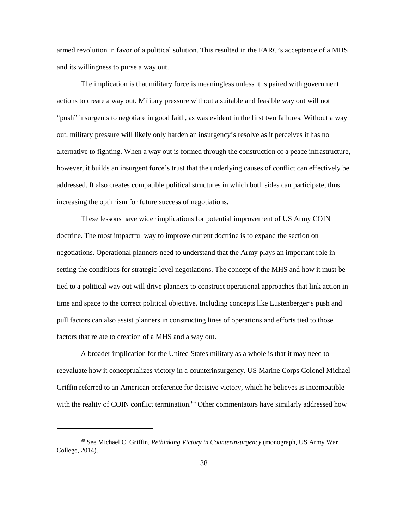armed revolution in favor of a political solution. This resulted in the FARC's acceptance of a MHS and its willingness to purse a way out.

The implication is that military force is meaningless unless it is paired with government actions to create a way out. Military pressure without a suitable and feasible way out will not "push" insurgents to negotiate in good faith, as was evident in the first two failures. Without a way out, military pressure will likely only harden an insurgency's resolve as it perceives it has no alternative to fighting. When a way out is formed through the construction of a peace infrastructure, however, it builds an insurgent force's trust that the underlying causes of conflict can effectively be addressed. It also creates compatible political structures in which both sides can participate, thus increasing the optimism for future success of negotiations.

These lessons have wider implications for potential improvement of US Army COIN doctrine. The most impactful way to improve current doctrine is to expand the section on negotiations. Operational planners need to understand that the Army plays an important role in setting the conditions for strategic-level negotiations. The concept of the MHS and how it must be tied to a political way out will drive planners to construct operational approaches that link action in time and space to the correct political objective. Including concepts like Lustenberger's push and pull factors can also assist planners in constructing lines of operations and efforts tied to those factors that relate to creation of a MHS and a way out.

A broader implication for the United States military as a whole is that it may need to reevaluate how it conceptualizes victory in a counterinsurgency. US Marine Corps Colonel Michael Griffin referred to an American preference for decisive victory, which he believes is incompatible with the reality of COIN conflict termination.<sup>[99](#page-45-0)</sup> Other commentators have similarly addressed how

<span id="page-45-0"></span><sup>99</sup> See Michael C. Griffin, *Rethinking Victory in Counterinsurgency* (monograph, US Army War College, 2014).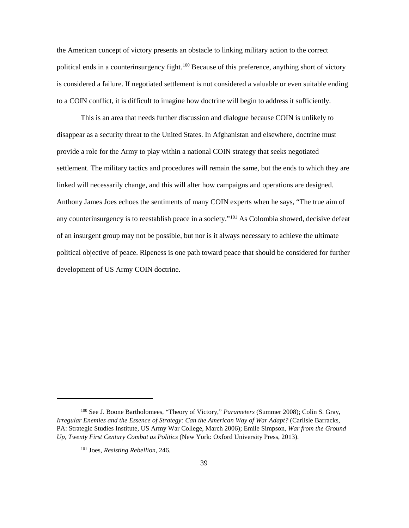the American concept of victory presents an obstacle to linking military action to the correct political ends in a counterinsurgency fight.<sup>[100](#page-46-0)</sup> Because of this preference, anything short of victory is considered a failure. If negotiated settlement is not considered a valuable or even suitable ending to a COIN conflict, it is difficult to imagine how doctrine will begin to address it sufficiently.

This is an area that needs further discussion and dialogue because COIN is unlikely to disappear as a security threat to the United States. In Afghanistan and elsewhere, doctrine must provide a role for the Army to play within a national COIN strategy that seeks negotiated settlement. The military tactics and procedures will remain the same, but the ends to which they are linked will necessarily change, and this will alter how campaigns and operations are designed. Anthony James Joes echoes the sentiments of many COIN experts when he says, "The true aim of any counterinsurgency is to reestablish peace in a society."[101](#page-46-1) As Colombia showed, decisive defeat of an insurgent group may not be possible, but nor is it always necessary to achieve the ultimate political objective of peace. Ripeness is one path toward peace that should be considered for further development of US Army COIN doctrine.

<span id="page-46-1"></span><span id="page-46-0"></span><sup>100</sup> See J. Boone Bartholomees, "Theory of Victory," *Parameters* (Summer 2008); Colin S. Gray, *Irregular Enemies and the Essence of Strategy: Can the American Way of War Adapt?* (Carlisle Barracks, PA: Strategic Studies Institute, US Army War College, March 2006); Emile Simpson, *War from the Ground Up, Twenty First Century Combat as Politics* (New York: Oxford University Press, 2013).

<sup>101</sup> Joes, *Resisting Rebellion*, 246.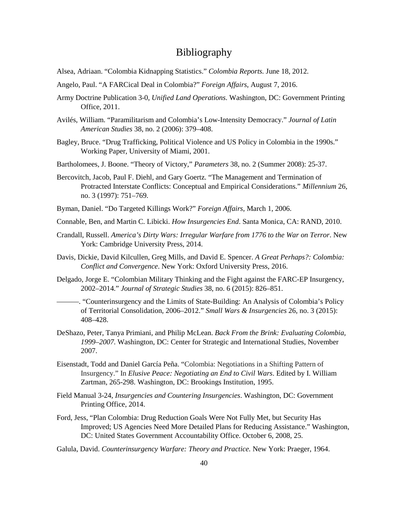### Bibliography

- <span id="page-47-0"></span>Alsea, Adriaan. "Colombia Kidnapping Statistics." *Colombia Reports.* June 18, 2012.
- Angelo, Paul. "A FARCical Deal in Colombia?" *Foreign Affairs*, August 7, 2016.
- Army Doctrine Publication 3-0, *Unified Land Operations*. Washington, DC: Government Printing Office, 2011.
- Avilés, William. "Paramilitarism and Colombia's Low-Intensity Democracy." *Journal of Latin American Studies* 38, no. 2 (2006): 379–408.
- Bagley, Bruce. "Drug Trafficking, Political Violence and US Policy in Colombia in the 1990s." Working Paper, University of Miami, 2001.
- Bartholomees, J. Boone. "Theory of Victory," *Parameters* 38, no. 2 (Summer 2008): 25-37.
- Bercovitch, Jacob, Paul F. Diehl, and Gary Goertz. "The Management and Termination of Protracted Interstate Conflicts: Conceptual and Empirical Considerations." *Millennium* 26, no. 3 (1997): 751–769.
- Byman, Daniel. "Do Targeted Killings Work?" *Foreign Affairs*, March 1, 2006.
- Connable, Ben, and Martin C. Libicki. *How Insurgencies End*. Santa Monica, CA: RAND, 2010.
- Crandall, Russell. *America's Dirty Wars: Irregular Warfare from 1776 to the War on Terror*. New York: Cambridge University Press, 2014.
- Davis, Dickie, David Kilcullen, Greg Mills, and David E. Spencer. *A Great Perhaps?: Colombia: Conflict and Convergence*. New York: Oxford University Press, 2016.
- Delgado, Jorge E. "Colombian Military Thinking and the Fight against the FARC-EP Insurgency, 2002–2014." *Journal of Strategic Studies* 38, no. 6 (2015): 826–851.
- ———. "Counterinsurgency and the Limits of State-Building: An Analysis of Colombia's Policy of Territorial Consolidation, 2006–2012." *Small Wars & Insurgencies* 26, no. 3 (2015): 408–428.
- DeShazo, Peter, Tanya Primiani, and Philip McLean. *Back From the Brink: Evaluating Colombia, 1999–2007*. Washington, DC: Center for Strategic and International Studies, November 2007.
- Eisenstadt, Todd and Daniel García Peña. "Colombia: Negotiations in a Shifting Pattern of Insurgency." In *Elusive Peace: Negotiating an End to Civil Wars*. Edited by I. William Zartman, 265-298. Washington, DC: Brookings Institution, 1995.
- Field Manual 3-24, *Insurgencies and Countering Insurgencies*. Washington, DC: Government Printing Office, 2014.
- Ford, Jess, "Plan Colombia: Drug Reduction Goals Were Not Fully Met, but Security Has Improved; US Agencies Need More Detailed Plans for Reducing Assistance." Washington, DC: United States Government Accountability Office. October 6, 2008, 25.
- Galula, David. *Counterinsurgency Warfare: Theory and Practice.* New York: Praeger, 1964.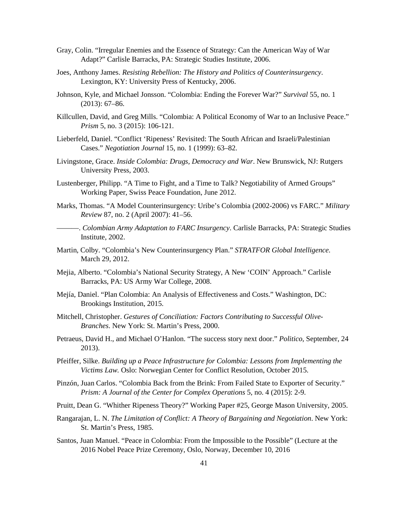- Gray, Colin. "Irregular Enemies and the Essence of Strategy: Can the American Way of War Adapt?" Carlisle Barracks, PA: Strategic Studies Institute, 2006.
- Joes, Anthony James. *Resisting Rebellion: The History and Politics of Counterinsurgency*. Lexington, KY: University Press of Kentucky, 2006.
- Johnson, Kyle, and Michael Jonsson. "Colombia: Ending the Forever War?" *Survival* 55, no. 1 (2013): 67–86.
- Killcullen, David, and Greg Mills. "Colombia: A Political Economy of War to an Inclusive Peace." *Prism* 5, no. 3 (2015): 106-121.
- Lieberfeld, Daniel. "Conflict 'Ripeness' Revisited: The South African and Israeli/Palestinian Cases." *Negotiation Journal* 15, no. 1 (1999): 63–82.
- Livingstone, Grace. *Inside Colombia: Drugs, Democracy and War*. New Brunswick, NJ: Rutgers University Press, 2003.
- Lustenberger, Philipp. "A Time to Fight, and a Time to Talk? Negotiability of Armed Groups" Working Paper, Swiss Peace Foundation, June 2012.
- Marks, Thomas. "A Model Counterinsurgency: Uribe's Colombia (2002-2006) vs FARC." *Military Review* 87, no. 2 (April 2007): 41–56.
- ———. *Colombian Army Adaptation to FARC Insurgency*. Carlisle Barracks, PA: Strategic Studies Institute, 2002.
- Martin, Colby. "Colombia's New Counterinsurgency Plan." *STRATFOR Global Intelligence.* March 29, 2012.
- Mejia, Alberto. "Colombia's National Security Strategy, A New 'COIN' Approach." Carlisle Barracks, PA: US Army War College, 2008.
- Mejía, Daniel. "Plan Colombia: An Analysis of Effectiveness and Costs." Washington, DC: Brookings Institution, 2015.
- Mitchell, Christopher. *Gestures of Conciliation: Factors Contributing to Successful Olive-Branches*. New York: St. Martin's Press, 2000.
- Petraeus, David H., and Michael O'Hanlon. "The success story next door." *Politico*, September, 24 2013).
- Pfeiffer, Silke. *Building up a Peace Infrastructure for Colombia: Lessons from Implementing the Victims Law.* Oslo: Norwegian Center for Conflict Resolution, October 2015.
- Pinzón, Juan Carlos. "Colombia Back from the Brink: From Failed State to Exporter of Security." *Prism: A Journal of the Center for Complex Operations* 5, no. 4 (2015): 2-9.
- Pruitt, Dean G. "Whither Ripeness Theory?" Working Paper #25, George Mason University, 2005.
- Rangarajan, L. N. *The Limitation of Conflict: A Theory of Bargaining and Negotiation*. New York: St. Martin's Press, 1985.
- Santos, Juan Manuel. "Peace in Colombia: From the Impossible to the Possible" (Lecture at the 2016 Nobel Peace Prize Ceremony, Oslo, Norway, December 10, 2016